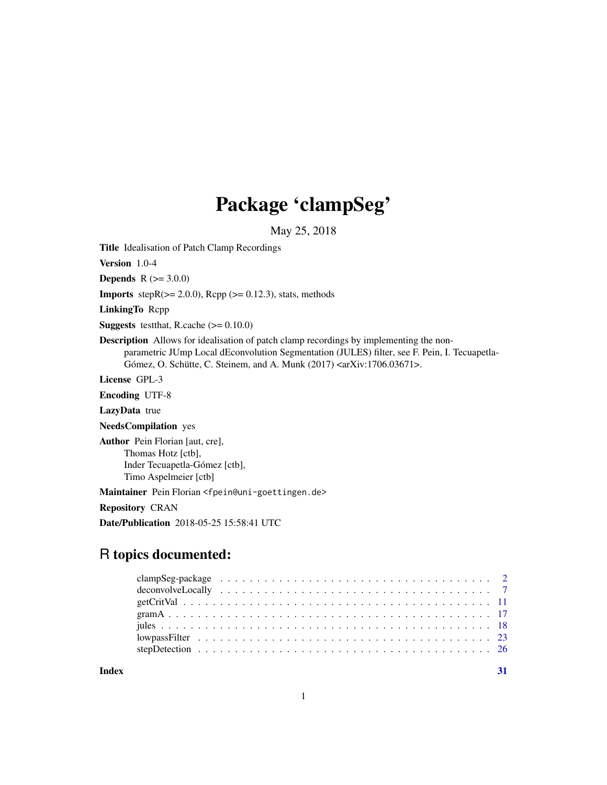## Package 'clampSeg'

May 25, 2018

<span id="page-0-0"></span>Title Idealisation of Patch Clamp Recordings

Version 1.0-4

**Depends**  $R (= 3.0.0)$ 

**Imports** step $R$ ( $>= 2.0.0$ ),  $Rcpp$  ( $>= 0.12.3$ ), stats, methods

LinkingTo Rcpp

**Suggests** testthat, R.cache  $(>= 0.10.0)$ 

Description Allows for idealisation of patch clamp recordings by implementing the nonparametric JUmp Local dEconvolution Segmentation (JULES) filter, see F. Pein, I. Tecuapetla-Gómez, O. Schütte, C. Steinem, and A. Munk (2017) <arXiv:1706.03671>.

License GPL-3

Encoding UTF-8

LazyData true

NeedsCompilation yes

Author Pein Florian [aut, cre], Thomas Hotz [ctb], Inder Tecuapetla-Gómez [ctb], Timo Aspelmeier [ctb]

Maintainer Pein Florian <fpein@uni-goettingen.de>

Repository CRAN

Date/Publication 2018-05-25 15:58:41 UTC

### R topics documented:

**Index** [31](#page-30-0)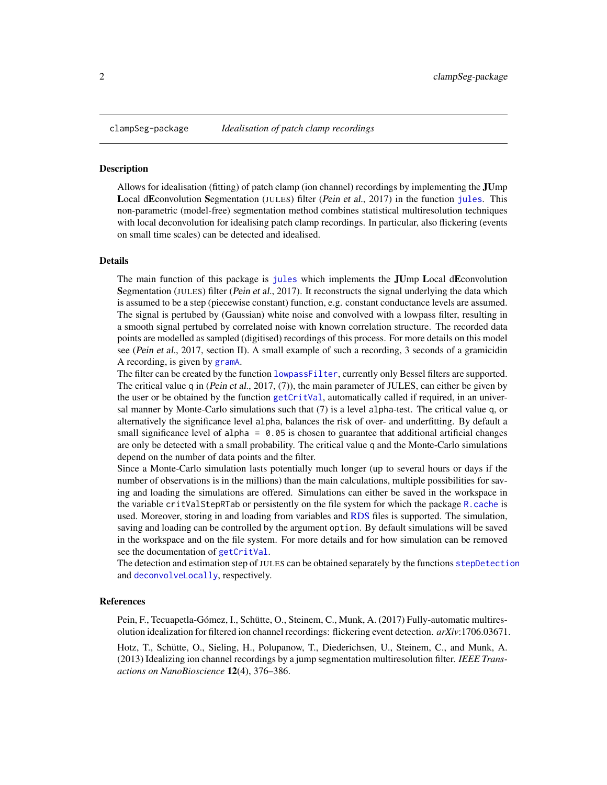<span id="page-1-0"></span>

#### Description

Allows for idealisation (fitting) of patch clamp (ion channel) recordings by implementing the JUmp Local dEconvolution Segmentation (JULES) filter (Pein et al., 2017) in the function [jules](#page-17-1). This non-parametric (model-free) segmentation method combines statistical multiresolution techniques with local deconvolution for idealising patch clamp recordings. In particular, also flickering (events on small time scales) can be detected and idealised.

#### Details

The main function of this package is [jules](#page-17-1) which implements the JUmp Local dEconvolution Segmentation (JULES) filter (Pein et al., 2017). It reconstructs the signal underlying the data which is assumed to be a step (piecewise constant) function, e.g. constant conductance levels are assumed. The signal is pertubed by (Gaussian) white noise and convolved with a lowpass filter, resulting in a smooth signal pertubed by correlated noise with known correlation structure. The recorded data points are modelled as sampled (digitised) recordings of this process. For more details on this model see (Pein et al., 2017, section II). A small example of such a recording, 3 seconds of a gramicidin A recording, is given by [gramA](#page-16-1).

The filter can be created by the function [lowpassFilter](#page-22-1), currently only Bessel filters are supported. The critical value q in (Pein et al., 2017, (7)), the main parameter of JULES, can either be given by the user or be obtained by the function [getCritVal](#page-10-1), automatically called if required, in an universal manner by Monte-Carlo simulations such that (7) is a level alpha-test. The critical value q, or alternatively the significance level alpha, balances the risk of over- and underfitting. By default a small significance level of alpha =  $0.05$  is chosen to guarantee that additional artificial changes are only be detected with a small probability. The critical value q and the Monte-Carlo simulations depend on the number of data points and the filter.

Since a Monte-Carlo simulation lasts potentially much longer (up to several hours or days if the number of observations is in the millions) than the main calculations, multiple possibilities for saving and loading the simulations are offered. Simulations can either be saved in the workspace in the variable critValStepRTab or persistently on the file system for which the package [R.cache](#page-0-0) is used. Moreover, storing in and loading from variables and [RDS](#page-0-0) files is supported. The simulation, saving and loading can be controlled by the argument option. By default simulations will be saved in the workspace and on the file system. For more details and for how simulation can be removed see the documentation of [getCritVal](#page-10-1).

The detection and estimation step of JULES can be obtained separately by the functions [stepDetection](#page-25-1) and [deconvolveLocally](#page-6-1), respectively.

#### References

Pein, F., Tecuapetla-Gómez, I., Schütte, O., Steinem, C., Munk, A. (2017) Fully-automatic multiresolution idealization for filtered ion channel recordings: flickering event detection. *arXiv*:1706.03671.

Hotz, T., Schütte, O., Sieling, H., Polupanow, T., Diederichsen, U., Steinem, C., and Munk, A. (2013) Idealizing ion channel recordings by a jump segmentation multiresolution filter. *IEEE Transactions on NanoBioscience* 12(4), 376–386.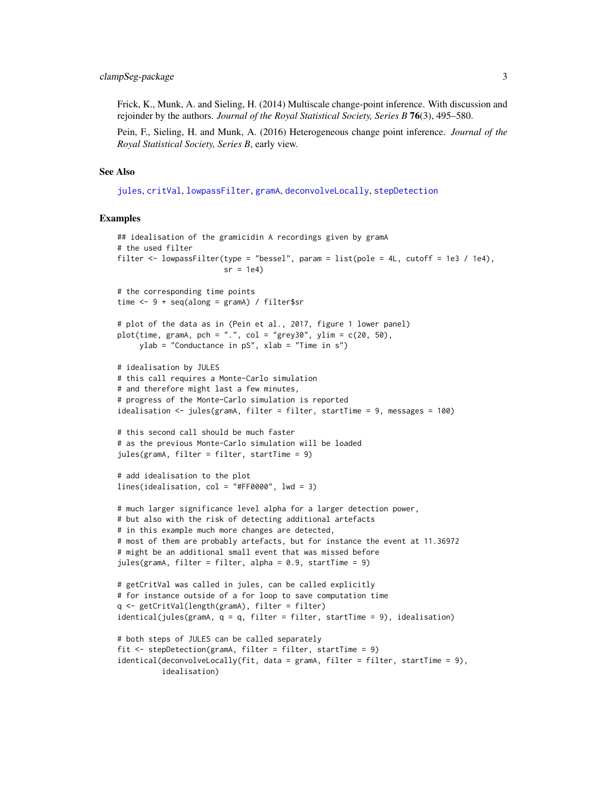<span id="page-2-0"></span>Frick, K., Munk, A. and Sieling, H. (2014) Multiscale change-point inference. With discussion and rejoinder by the authors. *Journal of the Royal Statistical Society, Series B* 76(3), 495–580.

Pein, F., Sieling, H. and Munk, A. (2016) Heterogeneous change point inference. *Journal of the Royal Statistical Society, Series B*, early view.

#### See Also

[jules](#page-17-1), [critVal](#page-0-0), [lowpassFilter](#page-22-1), [gramA](#page-16-1), [deconvolveLocally](#page-6-1), [stepDetection](#page-25-1)

```
## idealisation of the gramicidin A recordings given by gramA
# the used filter
filter \le lowpassFilter(type = "bessel", param = list(pole = 4L, cutoff = 1e3 / 1e4),
                        sr = 1e4# the corresponding time points
time <- 9 + seq(along = gramA) / filter$sr
# plot of the data as in (Pein et al., 2017, figure 1 lower panel)
plot(time, gramA, pch = ".", col = "grey30", ylim = c(20, 50),
     ylab = "Conductance in pS", xlab = "Time in s")
# idealisation by JULES
# this call requires a Monte-Carlo simulation
# and therefore might last a few minutes,
# progress of the Monte-Carlo simulation is reported
idealisation <- jules(gramA, filter = filter, startTime = 9, messages = 100)
# this second call should be much faster
# as the previous Monte-Carlo simulation will be loaded
jules(gramA, filter = filter, startTime = 9)
# add idealisation to the plot
lines(idealisation, col = "#FF0000", lwd = 3)
# much larger significance level alpha for a larger detection power,
# but also with the risk of detecting additional artefacts
# in this example much more changes are detected,
# most of them are probably artefacts, but for instance the event at 11.36972
# might be an additional small event that was missed before
jules(gramA, filter = filter, alpha = 0.9, startTime = 9)
# getCritVal was called in jules, can be called explicitly
# for instance outside of a for loop to save computation time
q <- getCritVal(length(gramA), filter = filter)
identical(jules(gramA, q = q, filter = filter, startTime = 9), idealisation)
# both steps of JULES can be called separately
fit <- stepDetection(gramA, filter = filter, startTime = 9)
identical(deconvolveLocally(fit, data = gramA, filter = filter, startTime = 9),
         idealisation)
```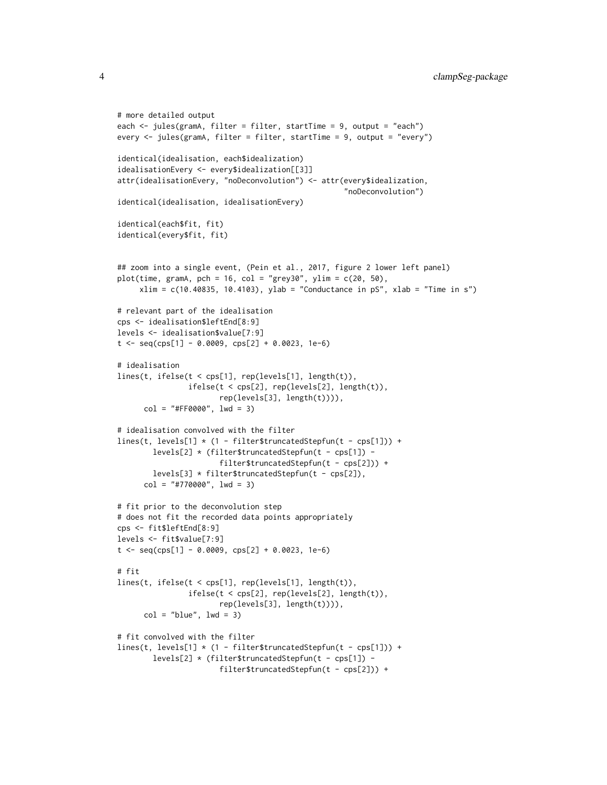```
# more detailed output
each <- jules(gramA, filter = filter, startTime = 9, output = "each")
every <- jules(gramA, filter = filter, startTime = 9, output = "every")
identical(idealisation, each$idealization)
idealisationEvery <- every$idealization[[3]]
attr(idealisationEvery, "noDeconvolution") <- attr(every$idealization,
                                                     "noDeconvolution")
identical(idealisation, idealisationEvery)
identical(each$fit, fit)
identical(every$fit, fit)
## zoom into a single event, (Pein et al., 2017, figure 2 lower left panel)
plot(time, gramA, pch = 16, col = "grey30", ylim = c(20, 50),xlim = c(10.40835, 10.4103), ylab = "Conductance in pS", xlab = "Time in s")# relevant part of the idealisation
cps <- idealisation$leftEnd[8:9]
levels <- idealisation$value[7:9]
t \leq -\text{seq}(\text{cps}[1] - 0.0009, \text{cps}[2] + 0.0023, 1e-6)# idealisation
lines(t, ifelse(t < cps[1], rep(levels[1], length(t)),
                ifelse(t < cps[2], rep(levels[2], length(t)),rep(levels[3], length(t)))),
      col = "#FF0000", \text{ lwd} = 3)# idealisation convolved with the filter
lines(t, levels[1] \star (1 - filter$truncatedStepfun(t - cps[1])) +
        levels[2] * (filter$truncatedStepfun(t - cps[1]) -
                       filter$truncatedStepfun(t - cps[2])) +
        levels[3] * filter$truncatedStepfun(t - cps[2]),
      col = "#770000", \text{ lwd} = 3)# fit prior to the deconvolution step
# does not fit the recorded data points appropriately
cps <- fit$leftEnd[8:9]
levels <- fit$value[7:9]
t \leq - seq(cps[1] - 0.0009, cps[2] + 0.0023, 1e-6)
# fit
lines(t, ifelse(t < cps[1], rep(levels[1], length(t)),
                ifelse(t < cps[2], rep(levels[2], length(t)),
                       rep(levels[3], length(t)))),
      col = "blue", \text{lw} = 3)# fit convolved with the filter
lines(t, levels[1] * (1 - filter$truncatedStepfun(t - cps[1])) +
        levels[2] * (filter$truncatedStepfun(t - cps[1]) -
                       filter$truncatedStepfun(t - cps[2])) +
```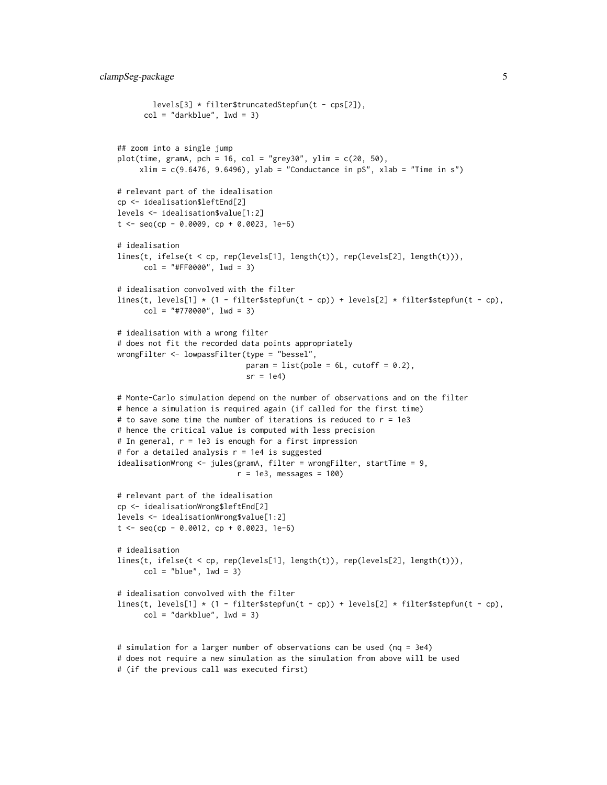```
levels[3] * filter$truncatedStepfun(t - cps[2]),
      col = "darkblue", \text{ lwd} = 3)## zoom into a single jump
plot(time, gramA, pch = 16, col = "grey30", ylim = c(20, 50),xlim = c(9.6476, 9.6496), ylab = "Conductance in pS", xlab = "Time in s")# relevant part of the idealisation
cp <- idealisation$leftEnd[2]
levels <- idealisation$value[1:2]
t \leq - seq(cp - 0.0009, cp + 0.0023, 1e-6)
# idealisation
lines(t, ifelse(t < cp, rep(levels[1], length(t)), rep(levels[2], length(t))),
      col = "#FF0000", \text{ lwd} = 3)# idealisation convolved with the filter
lines(t, levels[1] \star (1 - filter$stepfun(t - cp)) + levels[2] \star filter$stepfun(t - cp),
      col = "#770000", \text{ lwd} = 3)# idealisation with a wrong filter
# does not fit the recorded data points appropriately
wrongFilter <- lowpassFilter(type = "bessel",
                             param = list(pole = 6L, cutoff = 0.2),
                              sr = 1e4# Monte-Carlo simulation depend on the number of observations and on the filter
# hence a simulation is required again (if called for the first time)
# to save some time the number of iterations is reduced to r = 1e3# hence the critical value is computed with less precision
# In general, r = 1e3 is enough for a first impression
# for a detailed analysis r = 1e4 is suggested
idealisationWrong <- jules(gramA, filter = wrongFilter, startTime = 9,
                           r = 1e3, messages = 100)
# relevant part of the idealisation
cp <- idealisationWrong$leftEnd[2]
levels <- idealisationWrong$value[1:2]
t \leq - seq(cp - 0.0012, cp + 0.0023, 1e-6)
# idealisation
lines(t, ifelse(t < cp, rep(levels[1], length(t)), rep(levels[2], length(t))),
      col = "blue", \text{lw} = 3)# idealisation convolved with the filter
lines(t, levels[1] \star (1 - filter$stepfun(t - cp)) + levels[2] \star filter$stepfun(t - cp),
      col = "darkblue", \text{ lwd} = 3)# simulation for a larger number of observations can be used (nq = 3e4)
# does not require a new simulation as the simulation from above will be used
```

```
# (if the previous call was executed first)
```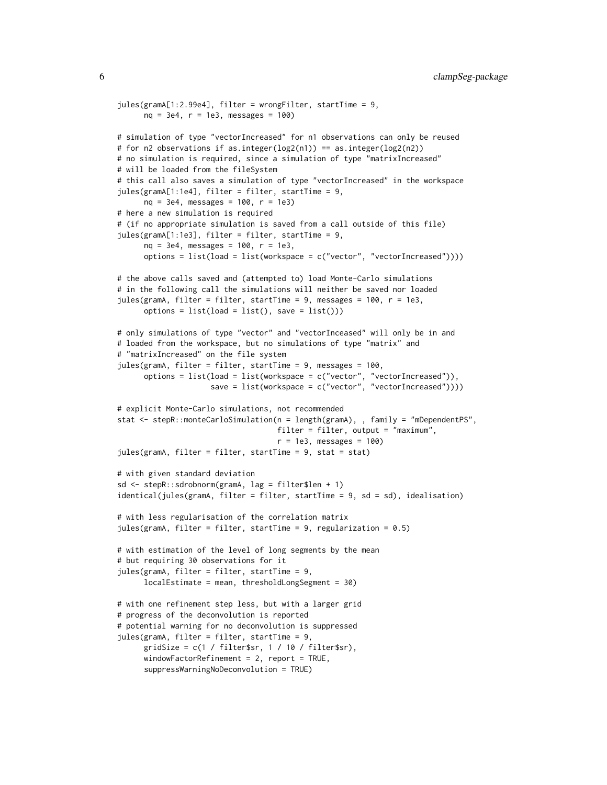```
jules(gramA[1:2.99e4], filter = wrongFilter, startTime = 9,
     nq = 3e4, r = 1e3, messages = 100)
# simulation of type "vectorIncreased" for n1 observations can only be reused
# for n2 observations if as.integer(log2(n1)) == as.integer(log2(n2))
# no simulation is required, since a simulation of type "matrixIncreased"
# will be loaded from the fileSystem
# this call also saves a simulation of type "vectorIncreased" in the workspace
jules(gramA[1:1e4], filter = filter, startTime = 9,
     nq = 3e4, messages = 100, r = 1e3)
# here a new simulation is required
# (if no appropriate simulation is saved from a call outside of this file)
jules(gramA[1:1e3], filter = filter, startTime = 9,
     nq = 3e4, messages = 100, r = 1e3,
     options = list(load = list(workspace = c("vector", "vectorIncreased"))))
# the above calls saved and (attempted to) load Monte-Carlo simulations
# in the following call the simulations will neither be saved nor loaded
jules(gramA, filter = filter, startTime = 9, messages = 100, r = 1e3,
     options = list(load = list(), save = list())# only simulations of type "vector" and "vectorInceased" will only be in and
# loaded from the workspace, but no simulations of type "matrix" and
# "matrixIncreased" on the file system
jules(gramA, filter = filter, startTime = 9, messages = 100,
     options = list(load = list(workspace = c("vector", "vectorIncreased")),
                    save = list(workspace = c("vector", "vectorIncreased"))))
# explicit Monte-Carlo simulations, not recommended
stat <- stepR::monteCarloSimulation(n = length(gramA), , family = "mDependentPS",
                                   filter = filter, output = "maximum",
                                    r = 1e3, messages = 100)
jules(gramA, filter = filter, startTime = 9, stat = stat)
# with given standard deviation
sd <- stepR::sdrobnorm(gramA, lag = filter$len + 1)
identical(jules(gramA, filter = filter, startTime = 9, sd = sd), idealisation)
# with less regularisation of the correlation matrix
jules(gramA, filter = filter, startTime = 9, regularization = 0.5)
# with estimation of the level of long segments by the mean
# but requiring 30 observations for it
jules(gramA, filter = filter, startTime = 9,
     localEstimate = mean, thresholdLongSegment = 30)
# with one refinement step less, but with a larger grid
# progress of the deconvolution is reported
# potential warning for no deconvolution is suppressed
jules(gramA, filter = filter, startTime = 9,
     gridSize = c(1 / filter$sr, 1 / 10 / filter$sr),
     windowFactorRefinement = 2, report = TRUE,
     suppressWarningNoDeconvolution = TRUE)
```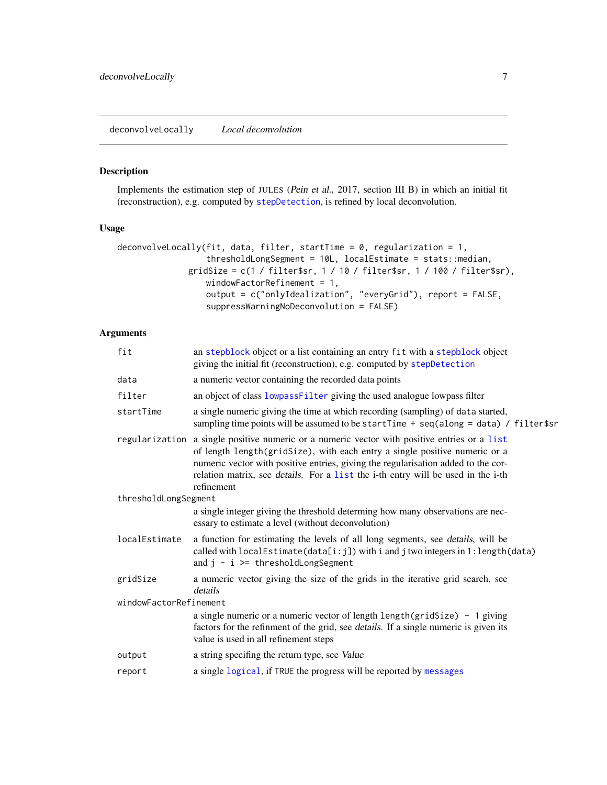#### <span id="page-6-1"></span><span id="page-6-0"></span>Description

Implements the estimation step of JULES (Pein et al., 2017, section III B) in which an initial fit (reconstruction), e.g. computed by [stepDetection](#page-25-1), is refined by local deconvolution.

#### Usage

```
deconvolveLocally(fit, data, filter, startTime = 0, regularization = 1,
                  thresholdLongSegment = 10L, localEstimate = stats::median,
              gridSize = c(1 / filter$sr, 1 / 10 / filter$sr, 1 / 100 / filter$sr),
                  windowFactorRefinement = 1,
                  output = c("onlyIdealization", "everyGrid"), report = FALSE,
                  suppressWarningNoDeconvolution = FALSE)
```
#### Arguments

| fit                    | an stepblock object or a list containing an entry fit with a stepblock object<br>giving the initial fit (reconstruction), e.g. computed by stepDetection                                                                                                                                                                                                                  |
|------------------------|---------------------------------------------------------------------------------------------------------------------------------------------------------------------------------------------------------------------------------------------------------------------------------------------------------------------------------------------------------------------------|
| data                   | a numeric vector containing the recorded data points                                                                                                                                                                                                                                                                                                                      |
| filter                 | an object of class lowpassFilter giving the used analogue lowpass filter                                                                                                                                                                                                                                                                                                  |
| startTime              | a single numeric giving the time at which recording (sampling) of data started,<br>sampling time points will be assumed to be startTime + seq(along = data) / filter\$sr                                                                                                                                                                                                  |
|                        | regularization a single positive numeric or a numeric vector with positive entries or a list<br>of length length(gridSize), with each entry a single positive numeric or a<br>numeric vector with positive entries, giving the regularisation added to the cor-<br>relation matrix, see <i>details</i> . For a list the i-th entry will be used in the i-th<br>refinement |
| thresholdLongSegment   |                                                                                                                                                                                                                                                                                                                                                                           |
|                        | a single integer giving the threshold determing how many observations are nec-<br>essary to estimate a level (without deconvolution)                                                                                                                                                                                                                                      |
| localEstimate          | a function for estimating the levels of all long segments, see details, will be<br>called with $localEstimate(data[i:j])$ with i and j two integers in $1:length(data)$<br>and $j - i \ge$ thresholdLongSegment                                                                                                                                                           |
| gridSize               | a numeric vector giving the size of the grids in the iterative grid search, see<br>details                                                                                                                                                                                                                                                                                |
| windowFactorRefinement |                                                                                                                                                                                                                                                                                                                                                                           |
|                        | a single numeric or a numeric vector of length length(gridSize) - 1 giving<br>factors for the refinment of the grid, see <i>details</i> . If a single numeric is given its<br>value is used in all refinement steps                                                                                                                                                       |
| output                 | a string specifing the return type, see Value                                                                                                                                                                                                                                                                                                                             |
| report                 | a single logical, if TRUE the progress will be reported by messages                                                                                                                                                                                                                                                                                                       |
|                        |                                                                                                                                                                                                                                                                                                                                                                           |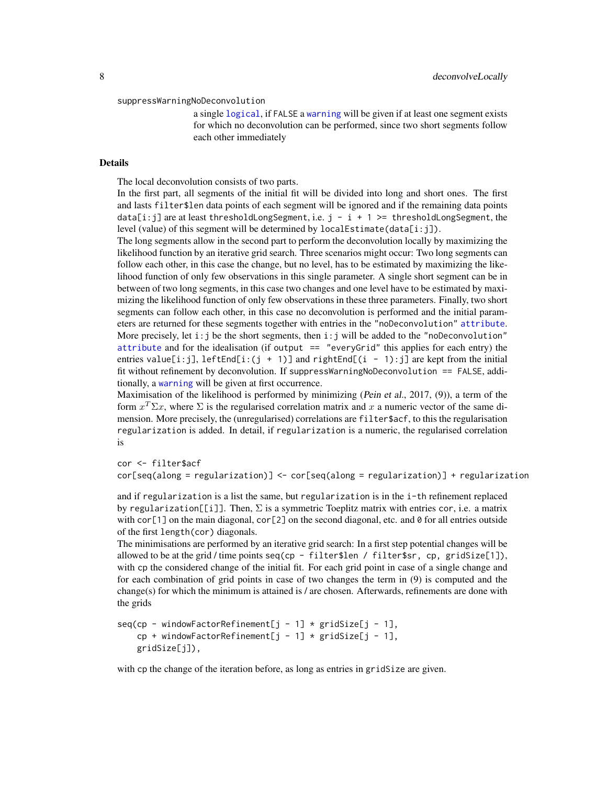#### <span id="page-7-0"></span>suppressWarningNoDeco[nvolution](#page-0-0)

a single logical, if FALSE a [warning](#page-0-0) will be given if at least one segment exists for which no deconvolution can be performed, since two short segments follow each other immediately

#### Details

The local deconvolution consists of two parts.

In the first part, all segments of the initial fit will be divided into long and short ones. The first and lasts filter\$len data points of each segment will be ignored and if the remaining data points data[i:j] are at least thresholdLongSegment, i.e.  $j - i + 1 \ge 1$  thresholdLongSegment, the level (value) of this segment will be determined by  $localEstimate(data[i:j])$ .

The long segments allow in the second part to perform the deconvolution locally by maximizing the likelihood function by an iterative grid search. Three scenarios might occur: Two long segments can follow each other, in this case the change, but no level, has to be estimated by maximizing the likelihood function of only few observations in this single parameter. A single short segment can be in between of two long segments, in this case two changes and one level have to be estimated by maximizing the likelihood function of only few observations in these three parameters. Finally, two short segments can follow each other, in this case no deconvolution is performed and the initial parameters are returned for these segments together with entries in the "noDeconvolution" [attribute](#page-0-0). More precisely, let  $i:j$  be the short segments, then  $i:j$  will be added to the "noDeconvolution" [attribute](#page-0-0) and for the idealisation (if output  $==$  "everyGrid" this applies for each entry) the entries value[i:j], leftEnd[i:(j + 1)] and rightEnd[(i - 1):j] are kept from the initial fit without refinement by deconvolution. If suppressWarningNoDeconvolution == FALSE, additionally, a [warning](#page-0-0) will be given at first occurrence.

Maximisation of the likelihood is performed by minimizing (Pein et al., 2017, (9)), a term of the form  $x^T \Sigma x$ , where  $\Sigma$  is the regularised correlation matrix and x a numeric vector of the same dimension. More precisely, the (unregularised) correlations are filter\$acf, to this the regularisation regularization is added. In detail, if regularization is a numeric, the regularised correlation is

cor <- filter\$acf

cor[seq(along = regularization)] <- cor[seq(along = regularization)] + regularization

and if regularization is a list the same, but regularization is in the i-th refinement replaced by regularization[[i]]. Then,  $\Sigma$  is a symmetric Toeplitz matrix with entries cor, i.e. a matrix with  $\text{cor}[1]$  on the main diagonal,  $\text{cor}[2]$  on the second diagonal, etc. and 0 for all entries outside of the first length(cor) diagonals.

The minimisations are performed by an iterative grid search: In a first step potential changes will be allowed to be at the grid / time points seq(cp - filter\$len / filter\$sr, cp, gridSize[1]), with cp the considered change of the initial fit. For each grid point in case of a single change and for each combination of grid points in case of two changes the term in (9) is computed and the change(s) for which the minimum is attained is / are chosen. Afterwards, refinements are done with the grids

```
seq(cp - windowFactorRefinement[j - 1] * gridSize[j - 1],cp + windowFactorRefinement[j - 1] * gridSize[j - 1],
   gridSize[j]),
```
with cp the change of the iteration before, as long as entries in gridSize are given.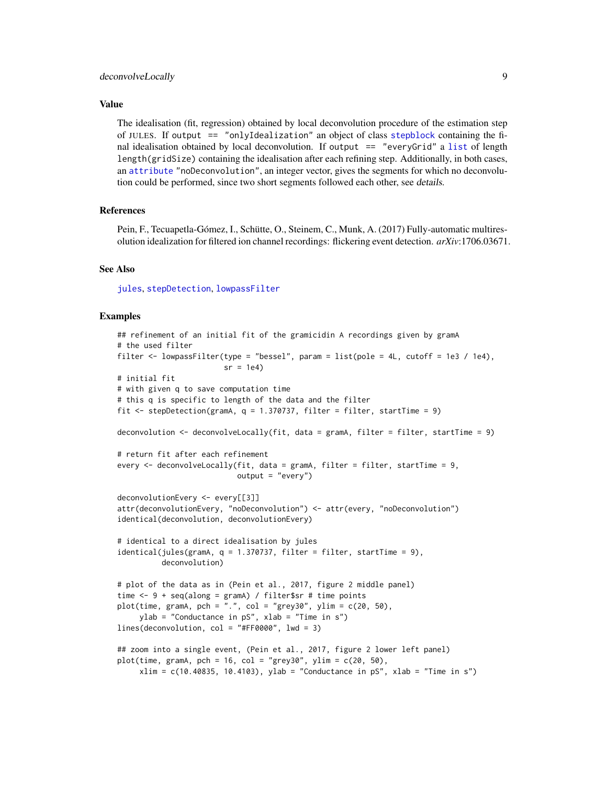#### <span id="page-8-0"></span>deconvolveLocally 9

#### Value

The idealisation (fit, regression) obtained by local deconvolution procedure of the estimation step of JULES. If output == "onlyIdealization" an object of class [stepblock](#page-0-0) containing the final idealisation obtained by local deconvolution. If output == "everyGrid" a [list](#page-0-0) of length length(gridSize) containing the idealisation after each refining step. Additionally, in both cases, an [attribute](#page-0-0) "noDeconvolution", an integer vector, gives the segments for which no deconvolution could be performed, since two short segments followed each other, see details.

#### References

Pein, F., Tecuapetla-Gómez, I., Schütte, O., Steinem, C., Munk, A. (2017) Fully-automatic multiresolution idealization for filtered ion channel recordings: flickering event detection. *arXiv*:1706.03671.

#### See Also

[jules](#page-17-1), [stepDetection](#page-25-1), [lowpassFilter](#page-22-1)

```
## refinement of an initial fit of the gramicidin A recordings given by gramA
# the used filter
filter \le lowpassFilter(type = "bessel", param = list(pole = 4L, cutoff = 1e3 / 1e4),
                        sr = 1e4# initial fit
# with given q to save computation time
# this q is specific to length of the data and the filter
fit \le- stepDetection(gramA, q = 1.370737, filter = filter, startTime = 9)
deconvolution \leq deconvolveLocally(fit, data = gramA, filter = filter, startTime = 9)
# return fit after each refinement
every <- deconvolveLocally(fit, data = gramA, filter = filter, startTime = 9,
                           output = "every")
deconvolutionEvery <- every[[3]]
attr(deconvolutionEvery, "noDeconvolution") <- attr(every, "noDeconvolution")
identical(deconvolution, deconvolutionEvery)
# identical to a direct idealisation by jules
identical(jules(gramA, q = 1.370737, filter = filter, startTime = 9),deconvolution)
# plot of the data as in (Pein et al., 2017, figure 2 middle panel)
time \leq -9 + \text{seq}(\text{along} = \text{gramA}) / filter$sr # time points
plot(time, gramA, pch = ".", col = "grey30", ylim = c(20, 50),
     ylab = "Conductance in pS", xlab = "Time in s")
lines(deconvolution, col = "#FF0000", lwd = 3)
## zoom into a single event, (Pein et al., 2017, figure 2 lower left panel)
plot(time, gramA, pch = 16, col = "grey30", ylim = c(20, 50),
     xlim = c(10.40835, 10.4103), ylab = "Conductance in pS", xlab = "Time in s")
```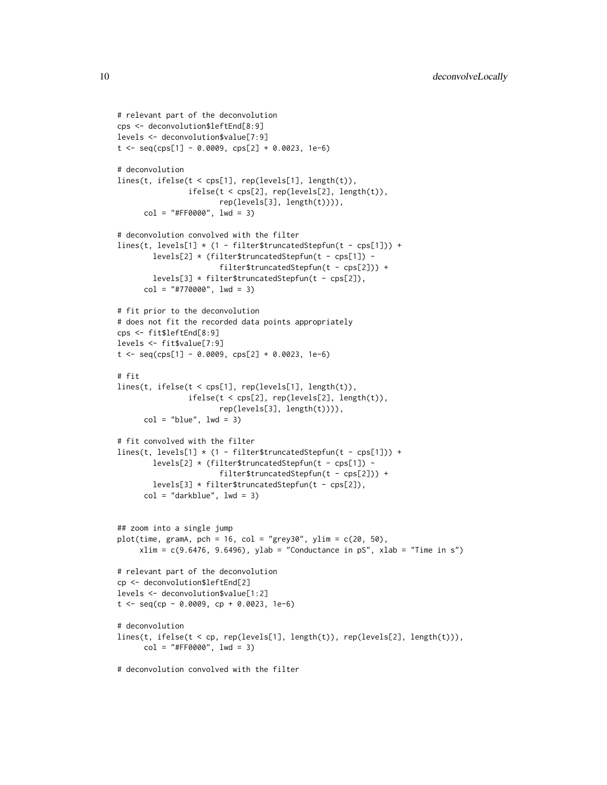```
# relevant part of the deconvolution
cps <- deconvolution$leftEnd[8:9]
levels <- deconvolution$value[7:9]
t \leq -\text{seq(cps[1]} - 0.0009, \text{cps[2]} + 0.0023, 1e-6)# deconvolution
lines(t, ifelse(t < cps[1], rep(levels[1], length(t)),
                ifelse(t < cps[2], rep(levels[2], length(t)),rep(levels[3], length(t)))),
      col = "#FF0000", \text{ lwd} = 3)# deconvolution convolved with the filter
lines(t, levels[1] * (1 - filter $truncated Step fun(t - cps[1])) +levels[2] * (filter$truncatedStepfun(t - cps[1]) -
                       filter$truncatedStepfun(t - cps[2])) +
        levels[3] * filter$truncatedStepfun(t - cps[2]),
      col = "#770000", \text{ lwd} = 3)# fit prior to the deconvolution
# does not fit the recorded data points appropriately
cps <- fit$leftEnd[8:9]
levels <- fit$value[7:9]
t \leq - seq(cps[1] - 0.0009, cps[2] + 0.0023, 1e-6)
# fit
lines(t, ifelse(t < cps[1], rep(levels[1], length(t)),
                ifelse(t < cps[2], rep(levels[2], length(t)),
                       rep(levels[3], length(t)))),
      col = "blue", \text{lwd} = 3)# fit convolved with the filter
lines(t, levels[1] * (1 - filter$truncatedStepfun(t - cps[1])) +
        levels[2] * (filter$truncatedStepfun(t - cps[1]) -
                        filter$truncatedStepfun(t - cps[2])) +
        levels[3] * filter$truncatedStepfun(t - cps[2]),
      col = "darkblue", \text{lwd} = 3)## zoom into a single jump
plot(time, gramA, pch = 16, col = "grey30", ylim = c(20, 50),xlim = c(9.6476, 9.6496), ylab = "Conductance in pS", xlab = "Time in s")# relevant part of the deconvolution
cp <- deconvolution$leftEnd[2]
levels <- deconvolution$value[1:2]
t <- seq(cp - 0.0009, cp + 0.0023, 1e-6)
# deconvolution
lines(t, ifelse(t < cp, rep(levels[1], length(t)), rep(levels[2], length(t))),
      col = "#FF0000", \text{ lwd} = 3)# deconvolution convolved with the filter
```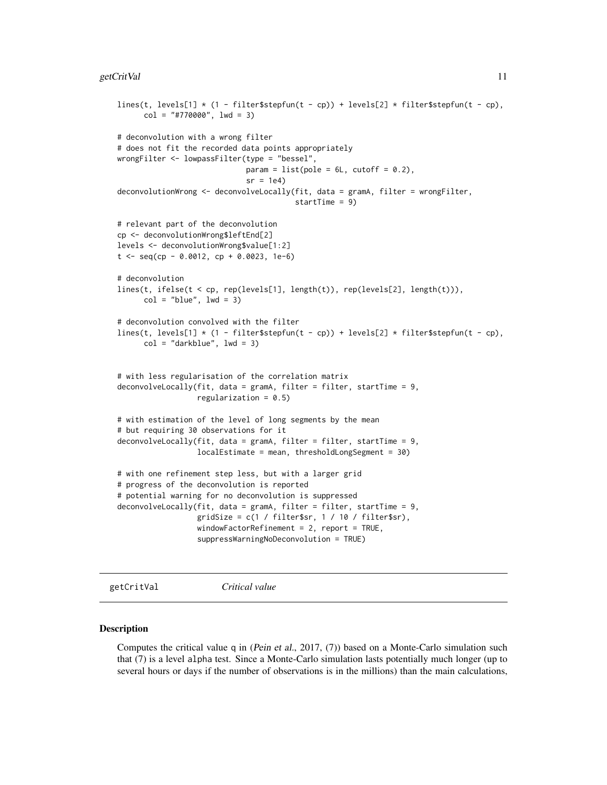```
lines(t, levels[1] \star (1 - filter$stepfun(t - cp)) + levels[2] \star filter$stepfun(t - cp),
      col = "#770000", \text{ lwd} = 3)# deconvolution with a wrong filter
# does not fit the recorded data points appropriately
wrongFilter <- lowpassFilter(type = "bessel",
                             param = list(pole = 6L, cutoff = 0.2),
                              sr = 1e4deconvolutionWrong <- deconvolveLocally(fit, data = gramA, filter = wrongFilter,
                                         startTime = 9)
# relevant part of the deconvolution
cp <- deconvolutionWrong$leftEnd[2]
levels <- deconvolutionWrong$value[1:2]
t < - seq(cp - 0.0012, cp + 0.0023, 1e-6)
# deconvolution
lines(t, ifelse(t < cp, rep(levels[1], length(t)), rep(levels[2], length(t))),
      col = "blue", \text{lwd} = 3)# deconvolution convolved with the filter
lines(t, levels[1] \star (1 - filter$stepfun(t - cp)) + levels[2] \star filter$stepfun(t - cp),
      col = "darkblue", \text{ lwd} = 3)# with less regularisation of the correlation matrix
deconvolveLocally(fit, data = gramA, filter = filter, startTime = 9,
                  regularization = 0.5)
# with estimation of the level of long segments by the mean
# but requiring 30 observations for it
deconvolveLocally(fit, data = gramA, filter = filter, startTime = 9,
                  localEstimate = mean, thresholdLongSegment = 30)
# with one refinement step less, but with a larger grid
# progress of the deconvolution is reported
# potential warning for no deconvolution is suppressed
deconvolveLocally(fit, data = gramA, filter = filter, startTime = 9,
                  gridSize = c(1 / filter$sr, 1 / 10 / filter$sr),
                  windowFactorRefinement = 2, report = TRUE,
                  suppressWarningNoDeconvolution = TRUE)
```
<span id="page-10-1"></span>getCritVal *Critical value*

#### Description

Computes the critical value q in (Pein et al., 2017, (7)) based on a Monte-Carlo simulation such that (7) is a level alpha test. Since a Monte-Carlo simulation lasts potentially much longer (up to several hours or days if the number of observations is in the millions) than the main calculations,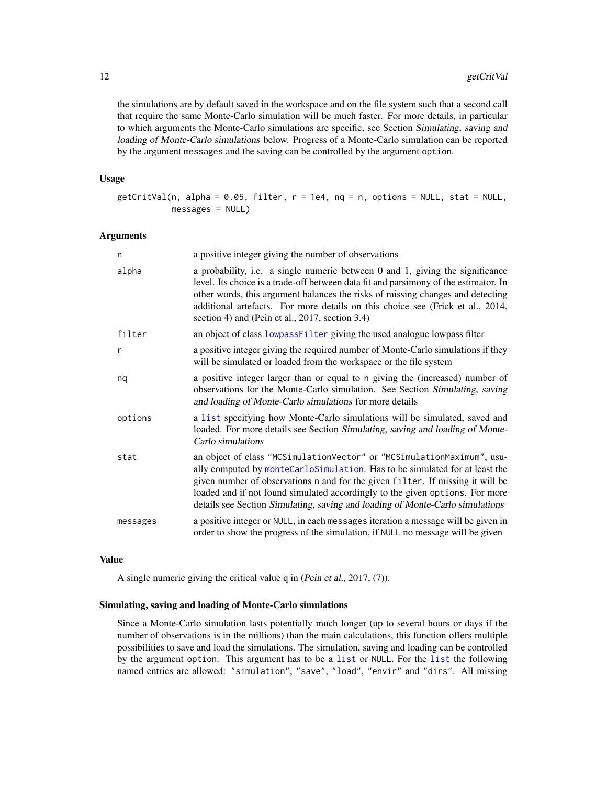<span id="page-11-0"></span>the simulations are by default saved in the workspace and on the file system such that a second call that require the same Monte-Carlo simulation will be much faster. For more details, in particular to which arguments the Monte-Carlo simulations are specific, see Section Simulating, saving and loading of Monte-Carlo simulations below. Progress of a Monte-Carlo simulation can be reported by the argument messages and the saving can be controlled by the argument option.

#### Usage

```
getCritVal(n, alpha = 0.05, filter, r = 1e4, nq = n, options = NULL, stat = NULL,messages = NULL)
```
#### Arguments

| n        | a positive integer giving the number of observations                                                                                                                                                                                                                                                                                                                                                     |
|----------|----------------------------------------------------------------------------------------------------------------------------------------------------------------------------------------------------------------------------------------------------------------------------------------------------------------------------------------------------------------------------------------------------------|
| alpha    | a probability, i.e. a single numeric between 0 and 1, giving the significance<br>level. Its choice is a trade-off between data fit and parsimony of the estimator. In<br>other words, this argument balances the risks of missing changes and detecting<br>additional artefacts. For more details on this choice see (Frick et al., 2014,<br>section 4) and (Pein et al., 2017, section 3.4)             |
| filter   | an object of class lowpassFilter giving the used analogue lowpass filter                                                                                                                                                                                                                                                                                                                                 |
| r        | a positive integer giving the required number of Monte-Carlo simulations if they<br>will be simulated or loaded from the workspace or the file system                                                                                                                                                                                                                                                    |
| nq       | a positive integer larger than or equal to n giving the (increased) number of<br>observations for the Monte-Carlo simulation. See Section Simulating, saving<br>and loading of Monte-Carlo simulations for more details                                                                                                                                                                                  |
| options  | a list specifying how Monte-Carlo simulations will be simulated, saved and<br>loaded. For more details see Section Simulating, saving and loading of Monte-<br>Carlo simulations                                                                                                                                                                                                                         |
| stat     | an object of class "MCSimulationVector" or "MCSimulationMaximum", usu-<br>ally computed by monteCarloSimulation. Has to be simulated for at least the<br>given number of observations n and for the given filter. If missing it will be<br>loaded and if not found simulated accordingly to the given options. For more<br>details see Section Simulating, saving and loading of Monte-Carlo simulations |
| messages | a positive integer or NULL, in each messages iteration a message will be given in<br>order to show the progress of the simulation, if NULL no message will be given                                                                                                                                                                                                                                      |

#### Value

A single numeric giving the critical value q in (Pein et al., 2017, (7)).

#### Simulating, saving and loading of Monte-Carlo simulations

Since a Monte-Carlo simulation lasts potentially much longer (up to several hours or days if the number of observations is in the millions) than the main calculations, this function offers multiple possibilities to save and load the simulations. The simulation, saving and loading can be controlled by the argument option. This argument has to be a [list](#page-0-0) or NULL. For the [list](#page-0-0) the following named entries are allowed: "simulation", "save", "load", "envir" and "dirs". All missing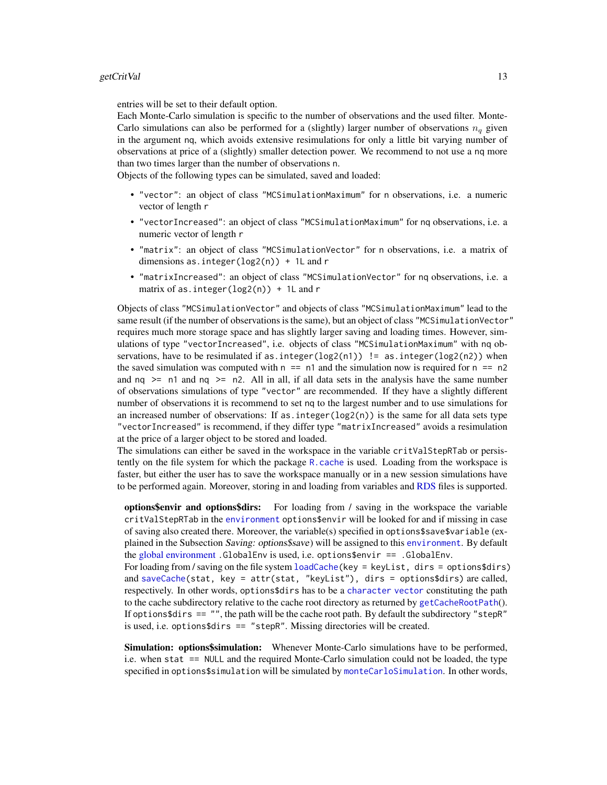<span id="page-12-0"></span>entries will be set to their default option.

Each Monte-Carlo simulation is specific to the number of observations and the used filter. Monte-Carlo simulations can also be performed for a (slightly) larger number of observations  $n_q$  given in the argument nq, which avoids extensive resimulations for only a little bit varying number of observations at price of a (slightly) smaller detection power. We recommend to not use a nq more than two times larger than the number of observations n.

Objects of the following types can be simulated, saved and loaded:

- "vector": an object of class "MCSimulationMaximum" for n observations, i.e. a numeric vector of length r
- "vectorIncreased": an object of class "MCSimulationMaximum" for nq observations, i.e. a numeric vector of length r
- "matrix": an object of class "MCSimulationVector" for n observations, i.e. a matrix of dimensions as.integer(log2(n)) + 1L and r
- "matrixIncreased": an object of class "MCSimulationVector" for nq observations, i.e. a matrix of as.integer(log2(n)) + 1L and r

Objects of class "MCSimulationVector" and objects of class "MCSimulationMaximum" lead to the same result (if the number of observations is the same), but an object of class "MCSimulationVector" requires much more storage space and has slightly larger saving and loading times. However, simulations of type "vectorIncreased", i.e. objects of class "MCSimulationMaximum" with nq observations, have to be resimulated if as. integer(log2(n1)) != as. integer(log2(n2)) when the saved simulation was computed with  $n == n1$  and the simulation now is required for  $n == n2$ and  $nq \geq n1$  and  $nq \geq n2$ . All in all, if all data sets in the analysis have the same number of observations simulations of type "vector" are recommended. If they have a slightly different number of observations it is recommend to set nq to the largest number and to use simulations for an increased number of observations: If as integer( $log(2(n))$ ) is the same for all data sets type "vectorIncreased" is recommend, if they differ type "matrixIncreased" avoids a resimulation at the price of a larger object to be stored and loaded.

The simulations can either be saved in the workspace in the variable critValStepRTab or persistently on the file system for which the package  $R$ , cache is used. Loading from the workspace is faster, but either the user has to save the workspace manually or in a new session simulations have to be performed again. Moreover, storing in and loading from variables and [RDS](#page-0-0) files is supported.

options\$envir and options\$dirs: For loading from / saving in the workspace the variable critValStepRTab in the [environment](#page-0-0) options\$envir will be looked for and if missing in case of saving also created there. Moreover, the variable(s) specified in options\$save\$variable (explained in the Subsection Saving: options\$save) will be assigned to this [environment](#page-0-0). By default the [global environment](#page-0-0) .GlobalEnv is used, i.e. options\$envir == .GlobalEnv.

For loading from / saving on the file system [loadCache\(](#page-0-0)key = keyList, dirs = options\$dirs) and [saveCache\(](#page-0-0)stat, key = attr(stat, "keyList"), dirs = options\$dirs) are called, respectively. In other words, options\$dirs has to be a [character](#page-0-0) [vector](#page-0-0) constituting the path to the cache subdirectory relative to the cache root directory as returned by [getCacheRootPath](#page-0-0)(). If options $\$dirs == "$ , the path will be the cache root path. By default the subdirectory "stepR" is used, i.e. options\$dirs == "stepR". Missing directories will be created.

Simulation: options\$simulation: Whenever Monte-Carlo simulations have to be performed, i.e. when stat == NULL and the required Monte-Carlo simulation could not be loaded, the type specified in options\$simulation will be simulated by [monteCarloSimulation](#page-0-0). In other words,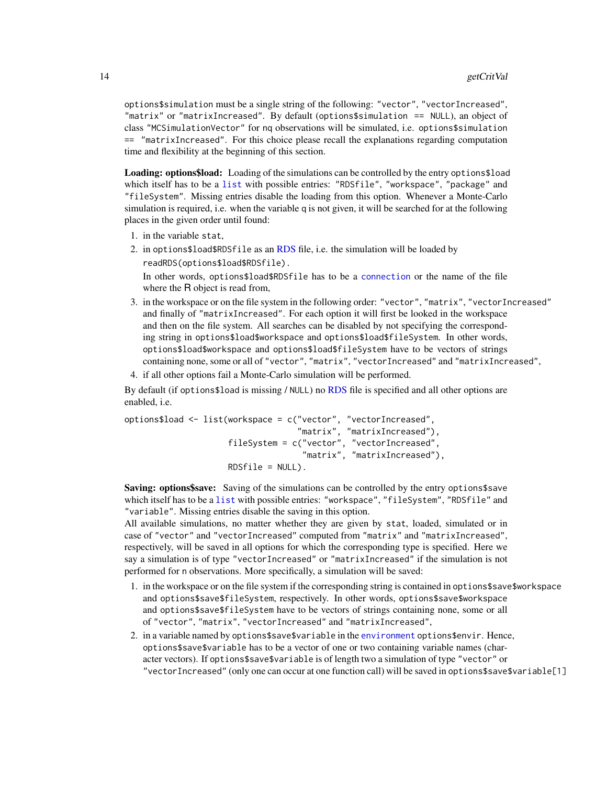<span id="page-13-0"></span>options\$simulation must be a single string of the following: "vector", "vectorIncreased", "matrix" or "matrixIncreased". By default (options\$simulation == NULL), an object of class "MCSimulationVector" for nq observations will be simulated, i.e. options\$simulation == "matrixIncreased". For this choice please recall the explanations regarding computation time and flexibility at the beginning of this section.

Loading: options\$load: Loading of the simulations can be controlled by the entry options\$load which itself has to be a [list](#page-0-0) with possible entries: "RDSfile", "workspace", "package" and "fileSystem". Missing entries disable the loading from this option. Whenever a Monte-Carlo simulation is required, i.e. when the variable q is not given, it will be searched for at the following places in the given order until found:

- 1. in the variable stat,
- 2. in options\$load\$RDSfile as an [RDS](#page-0-0) file, i.e. the simulation will be loaded by readRDS(options\$load\$RDSfile). In other words, options\$load\$RDSfile has to be a [connection](#page-0-0) or the name of the file where the R object is read from,
- 3. in the workspace or on the file system in the following order: "vector", "matrix", "vectorIncreased" and finally of "matrixIncreased". For each option it will first be looked in the workspace and then on the file system. All searches can be disabled by not specifying the corresponding string in options\$load\$workspace and options\$load\$fileSystem. In other words, options\$load\$workspace and options\$load\$fileSystem have to be vectors of strings containing none, some or all of "vector", "matrix", "vectorIncreased" and "matrixIncreased",
- 4. if all other options fail a Monte-Carlo simulation will be performed.

By default (if options\$load is missing / NULL) no [RDS](#page-0-0) file is specified and all other options are enabled, i.e.

options\$load <- list(workspace = c("vector", "vectorIncreased", "matrix", "matrixIncreased"), fileSystem = c("vector", "vectorIncreased", "matrix", "matrixIncreased"),  $RDSfile = NULL$ .

Saving: options\$save: Saving of the simulations can be controlled by the entry options\$save which itself has to be a [list](#page-0-0) with possible entries: "workspace", "fileSystem", "RDSfile" and "variable". Missing entries disable the saving in this option.

All available simulations, no matter whether they are given by stat, loaded, simulated or in case of "vector" and "vectorIncreased" computed from "matrix" and "matrixIncreased", respectively, will be saved in all options for which the corresponding type is specified. Here we say a simulation is of type "vectorIncreased" or "matrixIncreased" if the simulation is not performed for n observations. More specifically, a simulation will be saved:

- 1. in the workspace or on the file system if the corresponding string is contained in options\$save\$workspace and options\$save\$fileSystem, respectively. In other words, options\$save\$workspace and options\$save\$fileSystem have to be vectors of strings containing none, some or all of "vector", "matrix", "vectorIncreased" and "matrixIncreased",
- 2. in a variable named by options\$save\$variable in the [environment](#page-0-0) options\$envir. Hence, options\$save\$variable has to be a vector of one or two containing variable names (character vectors). If options\$save\$variable is of length two a simulation of type "vector" or "vectorIncreased" (only one can occur at one function call) will be saved in options\$save\$variable[1]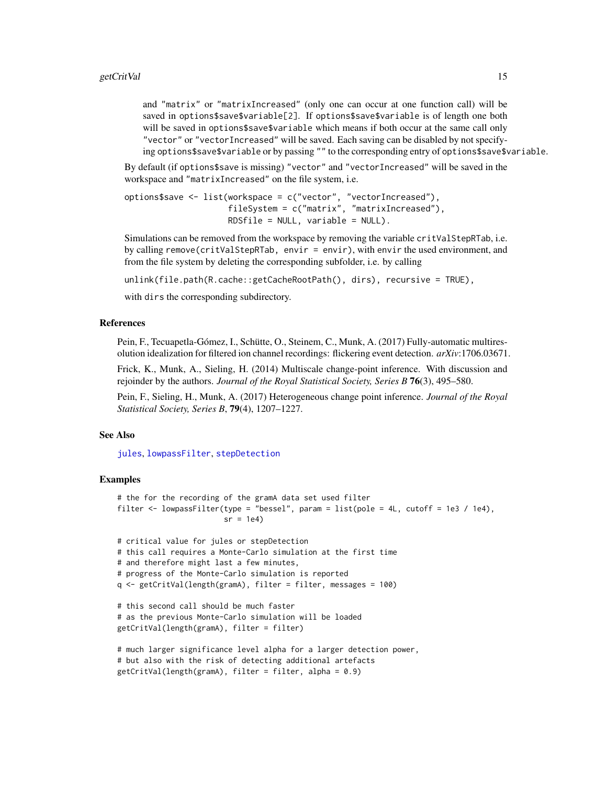<span id="page-14-0"></span>and "matrix" or "matrixIncreased" (only one can occur at one function call) will be saved in options\$save\$variable[2]. If options\$save\$variable is of length one both will be saved in options\$save\$variable which means if both occur at the same call only "vector" or "vectorIncreased" will be saved. Each saving can be disabled by not specifying options\$save\$variable or by passing "" to the corresponding entry of options\$save\$variable.

By default (if options\$save is missing) "vector" and "vectorIncreased" will be saved in the workspace and "matrixIncreased" on the file system, i.e.

```
options$save <- list(workspace = c("vector", "vectorIncreased"),
                     fileSystem = c("matrix", "matrixIncreased"),
                     RDSfile = NULL, variable = NULL).
```
Simulations can be removed from the workspace by removing the variable critValStepRTab, i.e. by calling remove(critValStepRTab, envir = envir), with envir the used environment, and from the file system by deleting the corresponding subfolder, i.e. by calling

unlink(file.path(R.cache::getCacheRootPath(), dirs), recursive = TRUE),

with dirs the corresponding subdirectory.

#### References

Pein, F., Tecuapetla-Gómez, I., Schütte, O., Steinem, C., Munk, A. (2017) Fully-automatic multiresolution idealization for filtered ion channel recordings: flickering event detection. *arXiv*:1706.03671.

Frick, K., Munk, A., Sieling, H. (2014) Multiscale change-point inference. With discussion and rejoinder by the authors. *Journal of the Royal Statistical Society, Series B* 76(3), 495–580.

Pein, F., Sieling, H., Munk, A. (2017) Heterogeneous change point inference. *Journal of the Royal Statistical Society, Series B*, 79(4), 1207–1227.

#### See Also

[jules](#page-17-1), [lowpassFilter](#page-22-1), [stepDetection](#page-25-1)

```
# the for the recording of the gramA data set used filter
filter \leq lowpassFilter(type = "bessel", param = list(pole = 4L, cutoff = 1e3 / 1e4),
                       sr = 1e4
```

```
# critical value for jules or stepDetection
# this call requires a Monte-Carlo simulation at the first time
# and therefore might last a few minutes,
# progress of the Monte-Carlo simulation is reported
q <- getCritVal(length(gramA), filter = filter, messages = 100)
# this second call should be much faster
# as the previous Monte-Carlo simulation will be loaded
getCritVal(length(gramA), filter = filter)
# much larger significance level alpha for a larger detection power,
# but also with the risk of detecting additional artefacts
```

```
getCritVal(length(gramA), filter = filter, alpha = 0.9)
```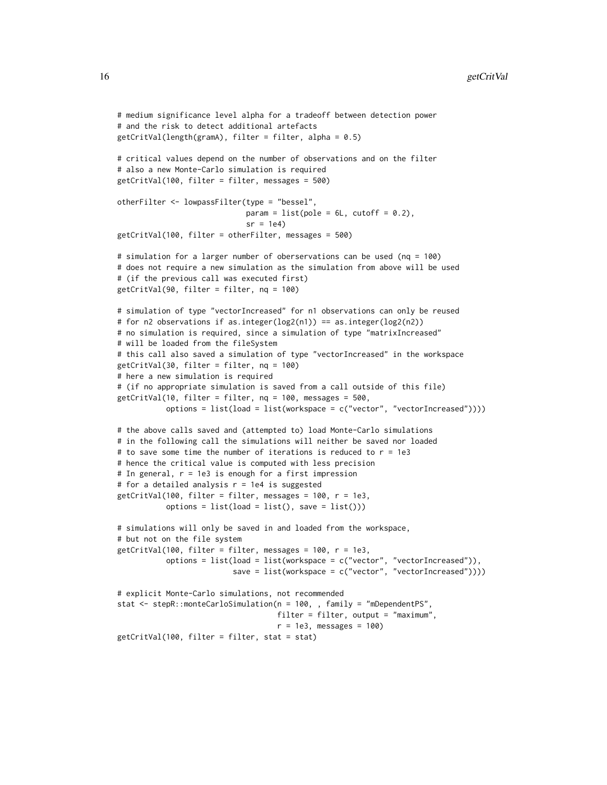```
# medium significance level alpha for a tradeoff between detection power
# and the risk to detect additional artefacts
getCritVal(length(gramA), filter = filter, alpha = 0.5)
# critical values depend on the number of observations and on the filter
# also a new Monte-Carlo simulation is required
getCritVal(100, filter = filter, messages = 500)
otherFilter <- lowpassFilter(type = "bessel",
                             param = list(pole = 6L, cutoff = 0.2),
                             sr = 1e4getCritVal(100, filter = otherFilter, messages = 500)
# simulation for a larger number of oberservations can be used (nq = 100)
# does not require a new simulation as the simulation from above will be used
# (if the previous call was executed first)
getCritVal(90, filter = filter, nq = 100)
# simulation of type "vectorIncreased" for n1 observations can only be reused
# for n2 observations if as.integer(log2(n1)) == as.integer(log2(n2))
# no simulation is required, since a simulation of type "matrixIncreased"
# will be loaded from the fileSystem
# this call also saved a simulation of type "vectorIncreased" in the workspace
getCritVal(30, filter = filter, nq = 100)
# here a new simulation is required
# (if no appropriate simulation is saved from a call outside of this file)
getCritVal(10, filter = filter, nq = 100, messages = 500,
          options = list(load = list(workspace = c("vector", "vectorIncreased"))))
# the above calls saved and (attempted to) load Monte-Carlo simulations
# in the following call the simulations will neither be saved nor loaded
# to save some time the number of iterations is reduced to r = 1e3
# hence the critical value is computed with less precision
# In general, r = 1e3 is enough for a first impression
# for a detailed analysis r = 1e4 is suggested
getCritVal(100, filter = filter, messages = 100, r = 1e3,
           options = list(load = list(), save = list())# simulations will only be saved in and loaded from the workspace,
# but not on the file system
getCritVal(100, filter = filter, messages = 100, r = 1e3,
          options = list(load = list(workspace = c("vector", "vectorIncreased")),
                          save = list(workspace = c("vector", "vectorIncreased"))))
# explicit Monte-Carlo simulations, not recommended
stat <- stepR::monteCarloSimulation(n = 100, , family = "mDependentPS",
                                   filter = filter, output = "maximum",
                                    r = 1e3, messages = 100)
getCritVal(100, filter = filter, stat = stat)
```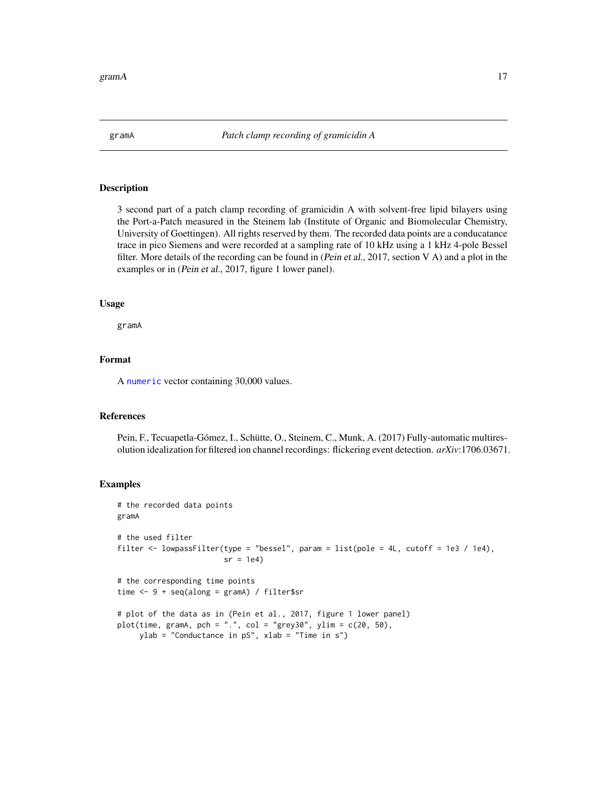#### <span id="page-16-1"></span><span id="page-16-0"></span>Description

3 second part of a patch clamp recording of gramicidin A with solvent-free lipid bilayers using the Port-a-Patch measured in the Steinem lab (Institute of Organic and Biomolecular Chemistry, University of Goettingen). All rights reserved by them. The recorded data points are a conducatance trace in pico Siemens and were recorded at a sampling rate of 10 kHz using a 1 kHz 4-pole Bessel filter. More details of the recording can be found in (Pein et al., 2017, section V A) and a plot in the examples or in (Pein et al., 2017, figure 1 lower panel).

#### Usage

gramA

#### Format

A [numeric](#page-0-0) vector containing 30,000 values.

#### References

Pein, F., Tecuapetla-Gómez, I., Schütte, O., Steinem, C., Munk, A. (2017) Fully-automatic multiresolution idealization for filtered ion channel recordings: flickering event detection. *arXiv*:1706.03671.

```
# the recorded data points
gramA
# the used filter
filter <- lowpassFilter(type = "bessel", param = list(pole = 4L, cutoff = 1e3 / 1e4),
                        sr = 1e4# the corresponding time points
time <- 9 + seq(along = gramA) / filter$sr
# plot of the data as in (Pein et al., 2017, figure 1 lower panel)
plot(time, gramA, pch = ".", col = "grey30", ylim = c(20, 50),
    ylab = "Conductance in pS", xlab = "Time in s")
```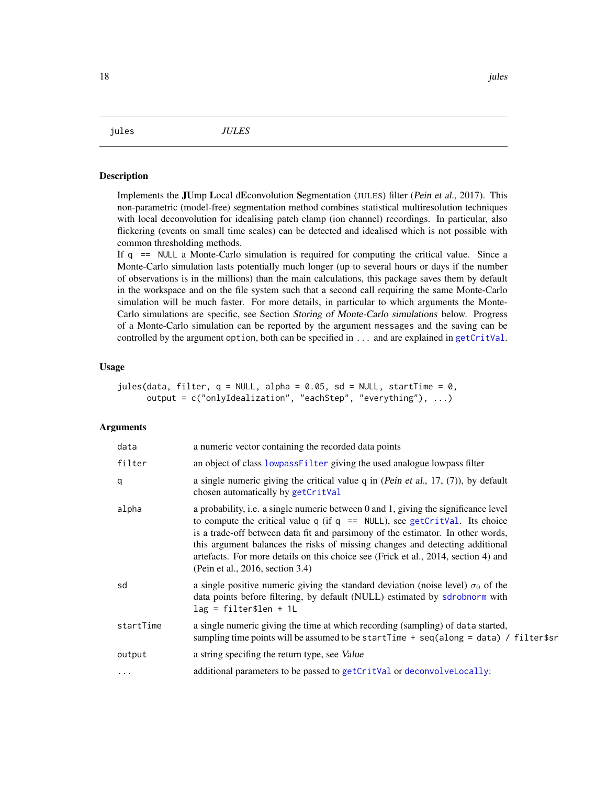<span id="page-17-1"></span><span id="page-17-0"></span>

#### **Description**

Implements the JUmp Local dEconvolution Segmentation (JULES) filter (Pein et al., 2017). This non-parametric (model-free) segmentation method combines statistical multiresolution techniques with local deconvolution for idealising patch clamp (ion channel) recordings. In particular, also flickering (events on small time scales) can be detected and idealised which is not possible with common thresholding methods.

If q == NULL a Monte-Carlo simulation is required for computing the critical value. Since a Monte-Carlo simulation lasts potentially much longer (up to several hours or days if the number of observations is in the millions) than the main calculations, this package saves them by default in the workspace and on the file system such that a second call requiring the same Monte-Carlo simulation will be much faster. For more details, in particular to which arguments the Monte-Carlo simulations are specific, see Section Storing of Monte-Carlo simulations below. Progress of a Monte-Carlo simulation can be reported by the argument messages and the saving can be controlled by the argument option, both can be specified in ... and are explained in [getCritVal](#page-10-1).

#### Usage

```
jules(data, filter, q = NULL, alpha = 0.05, sd = NULL, startTime = 0,
     output = c("onlyIdealization", "eachStep", "everything"), ...)
```
#### **Arguments**

| data      | a numeric vector containing the recorded data points                                                                                                                                                                                                                                                                                                                                                                                                                |
|-----------|---------------------------------------------------------------------------------------------------------------------------------------------------------------------------------------------------------------------------------------------------------------------------------------------------------------------------------------------------------------------------------------------------------------------------------------------------------------------|
| filter    | an object of class lowpass Filter giving the used analogue lowpass filter                                                                                                                                                                                                                                                                                                                                                                                           |
| q         | a single numeric giving the critical value $q$ in (Pein et al., 17, (7)), by default<br>chosen automatically by getCritVal                                                                                                                                                                                                                                                                                                                                          |
| alpha     | a probability, i.e. a single numeric between 0 and 1, giving the significance level<br>to compute the critical value $q$ (if $q == NULL$ ), see getCritVal. Its choice<br>is a trade-off between data fit and parsimony of the estimator. In other words,<br>this argument balances the risks of missing changes and detecting additional<br>artefacts. For more details on this choice see (Frick et al., 2014, section 4) and<br>(Pein et al., 2016, section 3.4) |
| sd        | a single positive numeric giving the standard deviation (noise level) $\sigma_0$ of the<br>data points before filtering, by default (NULL) estimated by sdrobnorm with<br>$lag = filter$len + 1L$                                                                                                                                                                                                                                                                   |
| startTime | a single numeric giving the time at which recording (sampling) of data started,<br>sampling time points will be assumed to be startTime $+$ seq(along = data) / filter\$sr                                                                                                                                                                                                                                                                                          |
| output    | a string specifing the return type, see Value                                                                                                                                                                                                                                                                                                                                                                                                                       |
| $\cdots$  | additional parameters to be passed to getCritVal or deconvolveLocally:                                                                                                                                                                                                                                                                                                                                                                                              |
|           |                                                                                                                                                                                                                                                                                                                                                                                                                                                                     |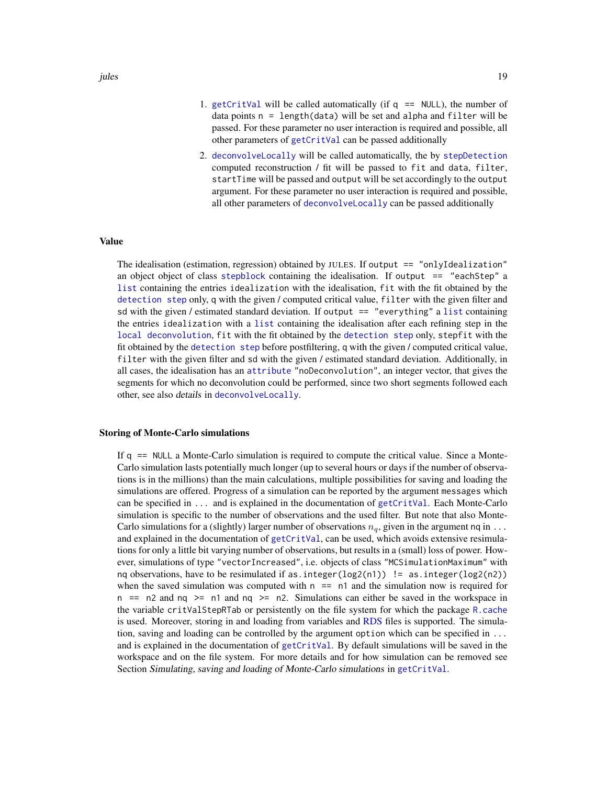- <span id="page-18-0"></span>1. [getCritVal](#page-10-1) will be called automatically (if  $q == NULL$ ), the number of data points  $n =$  length(data) will be set and alpha and filter will be passed. For these parameter no user interaction is required and possible, all other parameters of [getCritVal](#page-10-1) can be passed additionally
- 2. [deconvolveLocally](#page-6-1) will be called automatically, the by [stepDetection](#page-25-1) computed reconstruction / fit will be passed to fit and data, filter, startTime will be passed and output will be set accordingly to the output argument. For these parameter no user interaction is required and possible, all other parameters of [deconvolveLocally](#page-6-1) can be passed additionally

#### Value

The idealisation (estimation, regression) obtained by JULES. If output  $== "onlyI dealization"$ an object object of class [stepblock](#page-0-0) containing the idealisation. If output == "eachStep" a [list](#page-0-0) containing the entries idealization with the idealisation, fit with the fit obtained by the [detection step](#page-25-1) only, q with the given / computed critical value, filter with the given filter and sd with the given / estimated standard deviation. If output  $=$  "everything" a [list](#page-0-0) containing the entries idealization with a [list](#page-0-0) containing the idealisation after each refining step in the [local deconvolution](#page-6-1), fit with the fit obtained by the [detection step](#page-25-1) only, stepfit with the fit obtained by the [detection step](#page-25-1) before postfiltering, q with the given / computed critical value, filter with the given filter and sd with the given / estimated standard deviation. Additionally, in all cases, the idealisation has an [attribute](#page-0-0) "noDeconvolution", an integer vector, that gives the segments for which no deconvolution could be performed, since two short segments followed each other, see also details in [deconvolveLocally](#page-6-1).

#### Storing of Monte-Carlo simulations

If q == NULL a Monte-Carlo simulation is required to compute the critical value. Since a Monte-Carlo simulation lasts potentially much longer (up to several hours or days if the number of observations is in the millions) than the main calculations, multiple possibilities for saving and loading the simulations are offered. Progress of a simulation can be reported by the argument messages which can be specified in ... and is explained in the documentation of [getCritVal](#page-10-1). Each Monte-Carlo simulation is specific to the number of observations and the used filter. But note that also Monte-Carlo simulations for a (slightly) larger number of observations  $n_q$ , given in the argument nq in ... and explained in the documentation of [getCritVal](#page-10-1), can be used, which avoids extensive resimulations for only a little bit varying number of observations, but results in a (small) loss of power. However, simulations of type "vectorIncreased", i.e. objects of class "MCSimulationMaximum" with nq observations, have to be resimulated if as.integer(log2(n1))  $! =$  as.integer(log2(n2)) when the saved simulation was computed with  $n =$  n1 and the simulation now is required for n  $==$  n2 and nq  $>=$  n1 and nq  $>=$  n2. Simulations can either be saved in the workspace in the variable critValStepRTab or persistently on the file system for which the package [R.cache](#page-0-0) is used. Moreover, storing in and loading from variables and [RDS](#page-0-0) files is supported. The simulation, saving and loading can be controlled by the argument option which can be specified in ... and is explained in the documentation of [getCritVal](#page-10-1). By default simulations will be saved in the workspace and on the file system. For more details and for how simulation can be removed see Section Simulating, saving and loading of Monte-Carlo simulations in [getCritVal](#page-10-1).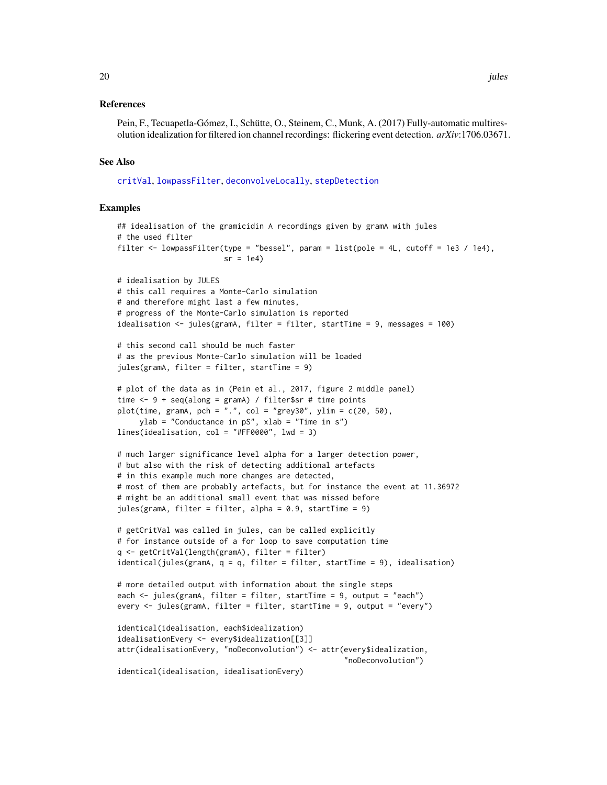#### <span id="page-19-0"></span>References

Pein, F., Tecuapetla-Gómez, I., Schütte, O., Steinem, C., Munk, A. (2017) Fully-automatic multiresolution idealization for filtered ion channel recordings: flickering event detection. *arXiv*:1706.03671.

#### See Also

[critVal](#page-0-0), [lowpassFilter](#page-22-1), [deconvolveLocally](#page-6-1), [stepDetection](#page-25-1)

```
## idealisation of the gramicidin A recordings given by gramA with jules
# the used filter
filter <- lowpassFilter(type = "bessel", param = list(pole = 4L, cutoff = 1e3 / 1e4),
                        sr = 1e4# idealisation by JULES
# this call requires a Monte-Carlo simulation
# and therefore might last a few minutes,
# progress of the Monte-Carlo simulation is reported
idealisation <- jules(gramA, filter = filter, startTime = 9, messages = 100)
# this second call should be much faster
# as the previous Monte-Carlo simulation will be loaded
jules(gramA, filter = filter, startTime = 9)
# plot of the data as in (Pein et al., 2017, figure 2 middle panel)
time \leq -9 + \text{seq}(\text{along} = \text{gramA}) / filter$sr # time points
plot(time, gramA, pch = ".", col = "grey30", ylim = c(20, 50),
     ylab = "Conductance in pS", xlab = "Time in s")
lines(idealisation, col = "#FF0000", lwd = 3)
# much larger significance level alpha for a larger detection power,
# but also with the risk of detecting additional artefacts
# in this example much more changes are detected,
# most of them are probably artefacts, but for instance the event at 11.36972
# might be an additional small event that was missed before
jules(gramA, filter = filter, alpha = 0.9, startTime = 9)
# getCritVal was called in jules, can be called explicitly
# for instance outside of a for loop to save computation time
q <- getCritVal(length(gramA), filter = filter)
identical(jules(gramA, q = q, filter = filter, startTime = 9), idealisation)
# more detailed output with information about the single steps
each <- jules(gramA, filter = filter, startTime = 9, output = "each")
every <- jules(gramA, filter = filter, startTime = 9, output = "every")
identical(idealisation, each$idealization)
idealisationEvery <- every$idealization[[3]]
attr(idealisationEvery, "noDeconvolution") <- attr(every$idealization,
                                                    "noDeconvolution")
identical(idealisation, idealisationEvery)
```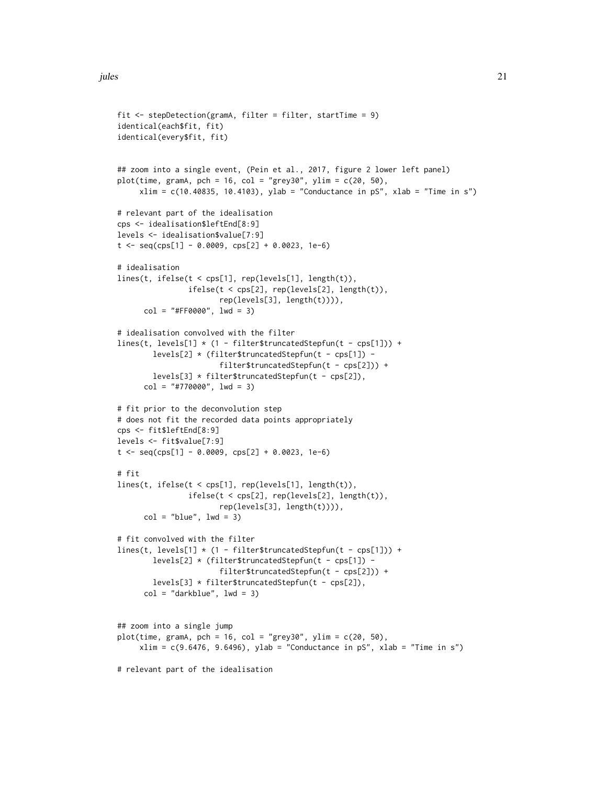```
fit <- stepDetection(gramA, filter = filter, startTime = 9)
identical(each$fit, fit)
identical(every$fit, fit)
## zoom into a single event, (Pein et al., 2017, figure 2 lower left panel)
plot(time, gramA, pch = 16, col = "grey30", ylim = c(20, 50),
     xlim = c(10.40835, 10.4103), ylab = "Conductance in pS", xlab = "Time in s")# relevant part of the idealisation
cps <- idealisation$leftEnd[8:9]
levels <- idealisation$value[7:9]
t \leq -\text{seq}(\text{cps}[1] - 0.0009, \text{cps}[2] + 0.0023, 1e-6)# idealisation
lines(t, ifelse(t < cps[1], rep(levels[1], length(t)),
                ifelse(t < cps[2], rep(levels[2], length(t)),rep(levels[3], length(t)))),
      col = "#FF0000", \text{ lwd} = 3)# idealisation convolved with the filter
lines(t, levels[1] * (1 - filter$truncatedStepfun(t - cps[1])) +
        levels[2] * (filter$truncatedStepfun(t - cps[1]) -
                        filter$truncatedStepfun(t - cps[2])) +
        levels[3] * filter$truncatedStepfun(t - cps[2]),
      col = "#770000", \text{ lwd} = 3)# fit prior to the deconvolution step
# does not fit the recorded data points appropriately
cps <- fit$leftEnd[8:9]
levels <- fit$value[7:9]
t \leq -\text{seq(cps[1]} - 0.0009, \text{cps[2]} + 0.0023, 1e-6)# fit
lines(t, ifelse(t < cps[1], rep(levels[1], length(t)),
                 ifelse(t < cps[2], rep(levels[2], length(t)),
                        rep(levels[3], length(t)))),
      col = "blue", \text{lwd} = 3)# fit convolved with the filter
lines(t, levels[1] * (1 - filter$truncatedStepfun(t - cps[1])) +
        levels[2] * (filter$truncatedStepfun(t - cps[1]) -
                        filter$truncatedStepfun(t - cps[2])) +
        levels[3] * filter$truncatedStepfun(t - cps[2]),
      col = "darkblue", \text{ lwd} = 3)## zoom into a single jump
plot(time, gramA, pch = 16, col = "grey30", ylim = c(20, 50),xlim = c(9.6476, 9.6496), ylab = "Conductance in pS", xlab = "Time in s")# relevant part of the idealisation
```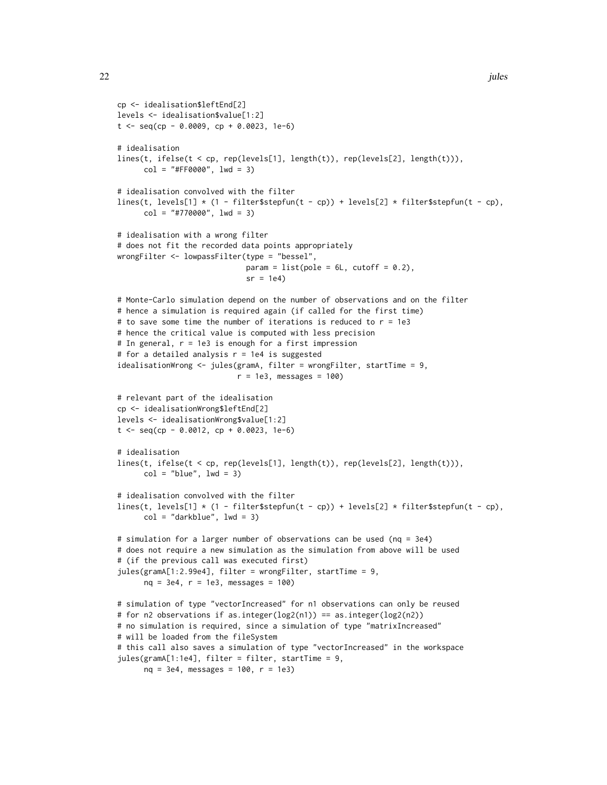```
cp <- idealisation$leftEnd[2]
levels <- idealisation$value[1:2]
t \leq - seq(cp - 0.0009, cp + 0.0023, 1e-6)
# idealisation
lines(t, ifelse(t < cp, rep(levels[1], length(t)), rep(levels[2], length(t))),
      col = "#FF0000", \text{ lwd} = 3)# idealisation convolved with the filter
lines(t, levels[1] * (1 - filter$stepfun(t - cp)) + levels[2] * filter$stepfun(t - cp),
      col = "#770000", \text{ lwd} = 3)# idealisation with a wrong filter
# does not fit the recorded data points appropriately
wrongFilter <- lowpassFilter(type = "bessel",
                             param = list(pole = 6L, cutoff = 0.2),
                             sr = 1e4# Monte-Carlo simulation depend on the number of observations and on the filter
# hence a simulation is required again (if called for the first time)
# to save some time the number of iterations is reduced to r = 1e3# hence the critical value is computed with less precision
# In general, r = 1e3 is enough for a first impression
# for a detailed analysis r = 1e4 is suggested
idealisationWrong <- jules(gramA, filter = wrongFilter, startTime = 9,
                           r = 1e3, messages = 100)
# relevant part of the idealisation
cp <- idealisationWrong$leftEnd[2]
levels <- idealisationWrong$value[1:2]
t < - seq(cp - 0.0012, cp + 0.0023, 1e-6)
# idealisation
lines(t, ifelse(t < cp, rep(levels[1], length(t)), rep(levels[2], length(t))),
      col = "blue", \text{lwd} = 3)# idealisation convolved with the filter
lines(t, levels[1] \star (1 - filter$stepfun(t - cp)) + levels[2] \star filter$stepfun(t - cp),
      col = "darkblue", \text{ lwd} = 3)# simulation for a larger number of observations can be used (nq = 3e4)
# does not require a new simulation as the simulation from above will be used
# (if the previous call was executed first)
jules(gramA[1:2.99e4], filter = wrongFilter, startTime = 9,
      nq = 3e4, r = 1e3, messages = 100)
# simulation of type "vectorIncreased" for n1 observations can only be reused
# for n2 observations if as.integer(log2(n1)) == as.integer(log2(n2))
# no simulation is required, since a simulation of type "matrixIncreased"
# will be loaded from the fileSystem
# this call also saves a simulation of type "vectorIncreased" in the workspace
jules(gramA[1:1e4], filter = filter, startTime = 9,
```

```
nq = 3e4, messages = 100, r = 1e3)
```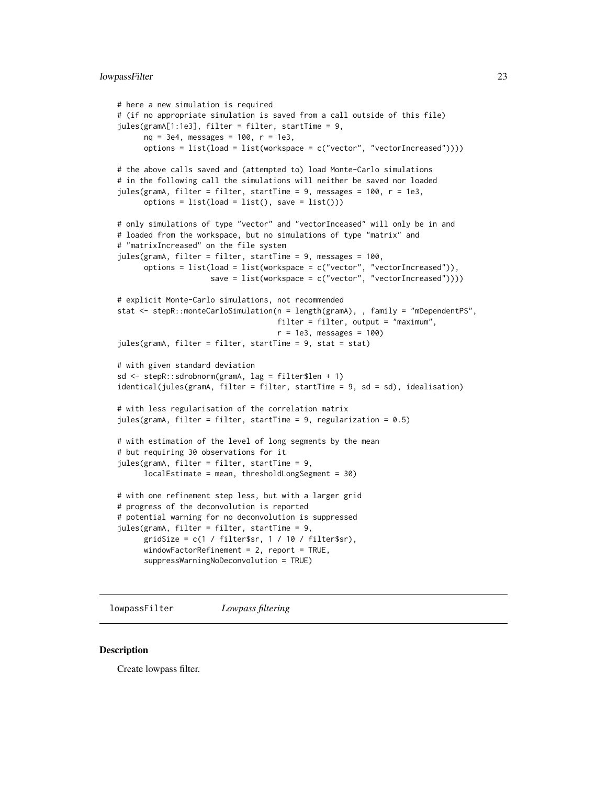#### <span id="page-22-0"></span>lowpassFilter 23

```
# here a new simulation is required
# (if no appropriate simulation is saved from a call outside of this file)
jules(gramA[1:1e3], filter = filter, startTime = 9,
     nq = 3e4, messages = 100, r = 1e3,
     options = list(load = list(workspace = c("vector", "vectorIncreased"))))
# the above calls saved and (attempted to) load Monte-Carlo simulations
# in the following call the simulations will neither be saved nor loaded
jules(gramA, filter = filter, startTime = 9, messages = 100, r = 1e3,
     options = list(load = list(), save = list())# only simulations of type "vector" and "vectorInceased" will only be in and
# loaded from the workspace, but no simulations of type "matrix" and
# "matrixIncreased" on the file system
jules(gramA, filter = filter, startTime = 9, messages = 100,
     options = list(load = list(workspace = c("vector", "vectorIncreased")),
                     save = list(workspace = c("vector", "vectorIncreased"))))
# explicit Monte-Carlo simulations, not recommended
stat <- stepR::monteCarloSimulation(n = length(gramA), , family = "mDependentPS",
                                   filter = filter, output = "maximum",
                                    r = 1e3, messages = 100)
jules(gramA, filter = filter, startTime = 9, stat = stat)
# with given standard deviation
sd <- stepR::sdrobnorm(gramA, lag = filter$len + 1)
identical(jules(gramA, filter = filter, startTime = 9, sd = sd), idealisation)
# with less regularisation of the correlation matrix
jules(gramA, filter = filter, startTime = 9, regularization = 0.5)
# with estimation of the level of long segments by the mean
# but requiring 30 observations for it
jules(gramA, filter = filter, startTime = 9,
     localEstimate = mean, thresholdLongSegment = 30)
# with one refinement step less, but with a larger grid
# progress of the deconvolution is reported
# potential warning for no deconvolution is suppressed
jules(gramA, filter = filter, startTime = 9,
     gridSize = c(1 / filter$sr, 1 / 10 / filter$sr),
     windowFactorRefinement = 2, report = TRUE,
     suppressWarningNoDeconvolution = TRUE)
```
<span id="page-22-1"></span>lowpassFilter *Lowpass filtering*

#### **Description**

Create lowpass filter.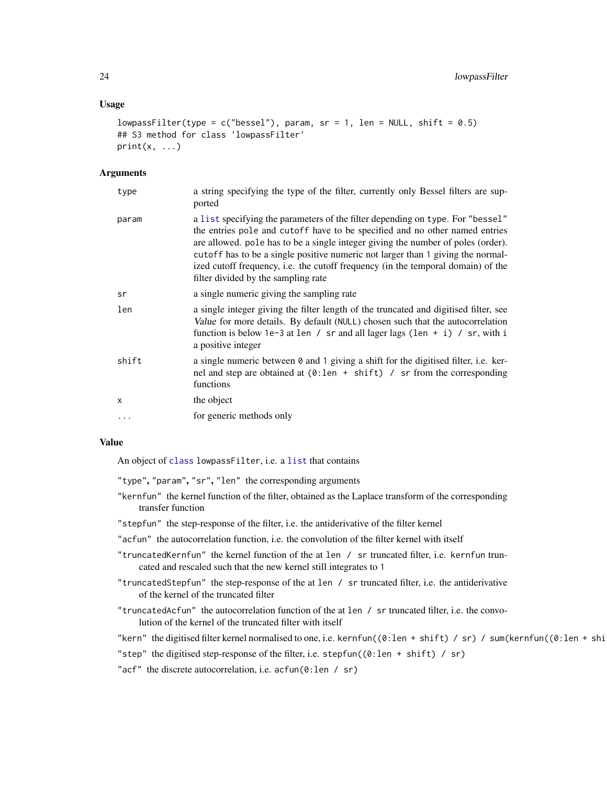#### <span id="page-23-0"></span>Usage

```
lowpassFilter(type = c("bessel"), param, sr = 1, len = NULL, shift = 0.5)
## S3 method for class 'lowpassFilter'
print(x, \ldots)
```
#### Arguments

| type      | a string specifying the type of the filter, currently only Bessel filters are sup-<br>ported                                                                                                                                                                                                                                                                                                                                                                    |
|-----------|-----------------------------------------------------------------------------------------------------------------------------------------------------------------------------------------------------------------------------------------------------------------------------------------------------------------------------------------------------------------------------------------------------------------------------------------------------------------|
| param     | a list specifying the parameters of the filter depending on type. For "bessel"<br>the entries pole and cutoff have to be specified and no other named entries<br>are allowed, pole has to be a single integer giving the number of poles (order).<br>cutoff has to be a single positive numeric not larger than 1 giving the normal-<br>ized cutoff frequency, i.e. the cutoff frequency (in the temporal domain) of the<br>filter divided by the sampling rate |
| sr        | a single numeric giving the sampling rate                                                                                                                                                                                                                                                                                                                                                                                                                       |
| len       | a single integer giving the filter length of the truncated and digitised filter, see<br>Value for more details. By default (NULL) chosen such that the autocorrelation<br>function is below 1e-3 at len / sr and all lager lags (len + i) / sr, with i<br>a positive integer                                                                                                                                                                                    |
| shift     | a single numeric between $\theta$ and 1 giving a shift for the digitised filter, i.e. ker-<br>nel and step are obtained at $(0:len + shift)$ / sr from the corresponding<br>functions                                                                                                                                                                                                                                                                           |
| $\times$  | the object                                                                                                                                                                                                                                                                                                                                                                                                                                                      |
| $\ddotsc$ | for generic methods only                                                                                                                                                                                                                                                                                                                                                                                                                                        |

#### Value

An object of [class](#page-0-0) lowpassFilter, i.e. a [list](#page-0-0) that contains

"type", "param", "sr", "len" the corresponding arguments

- "kernfun" the kernel function of the filter, obtained as the Laplace transform of the corresponding transfer function
- "stepfun" the step-response of the filter, i.e. the antiderivative of the filter kernel
- "acfun" the autocorrelation function, i.e. the convolution of the filter kernel with itself
- "truncatedKernfun" the kernel function of the at len / sr truncated filter, i.e. kernfun truncated and rescaled such that the new kernel still integrates to 1
- "truncatedStepfun" the step-response of the at len / sr truncated filter, i.e. the antiderivative of the kernel of the truncated filter
- "truncatedAcfun" the autocorrelation function of the at len / sr truncated filter, i.e. the convolution of the kernel of the truncated filter with itself
- "kern" the digitised filter kernel normalised to one, i.e. kernfun((0:len + shift) / sr) / sum(kernfun((0:len + shi
- "step" the digitised step-response of the filter, i.e. stepfun((0:len + shift) / sr)
- "acf" the discrete autocorrelation, i.e. acfun(0:len / sr)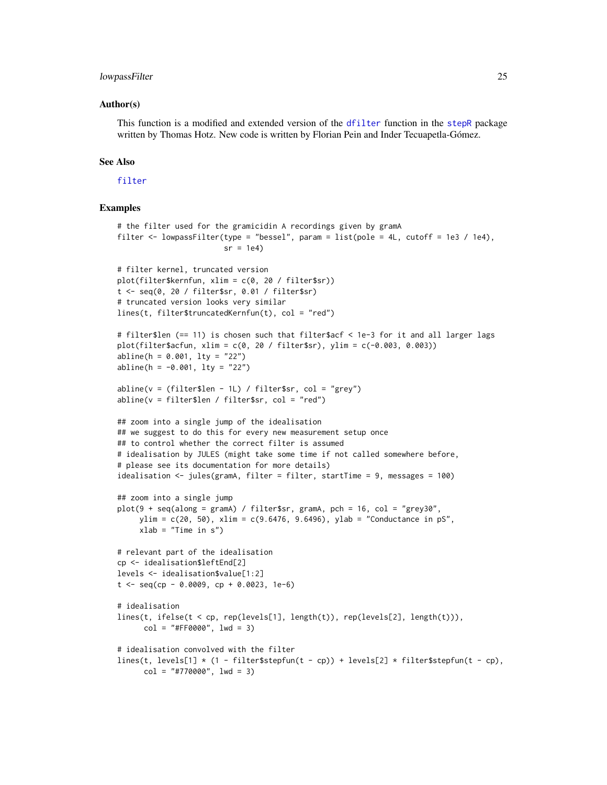#### <span id="page-24-0"></span>lowpassFilter 25

#### Author(s)

This function is a modified and extended version of the [dfilter](#page-0-0) function in the [stepR](#page-0-0) package written by Thomas Hotz. New code is written by Florian Pein and Inder Tecuapetla-Gómez.

#### See Also

[filter](#page-0-0)

```
# the filter used for the gramicidin A recordings given by gramA
filter <- lowpassFilter(type = "bessel", param = list(pole = 4L, cutoff = 1e3 / 1e4),
                        sr = 1e4# filter kernel, truncated version
plot(filter$kernfun, xlim = c(0, 20 / filter$sr))
t <- seq(0, 20 / filter$sr, 0.01 / filter$sr)
# truncated version looks very similar
lines(t, filter$truncatedKernfun(t), col = "red")
# filter$len (== 11) is chosen such that filter$acf < 1e-3 for it and all larger lags
plot(filter$acfun, xlim = c(0, 20 / filter$sr), ylim = c(-0.003, 0.003))
abline(h = 0.001, lty = "22")
abline(h = -0.001, 1ty = "22")abline(v = (filter$len - 1L) / filter$sr, col = "grey")
abline(v = filter$len / filter$sr, col = "red")
## zoom into a single jump of the idealisation
## we suggest to do this for every new measurement setup once
## to control whether the correct filter is assumed
# idealisation by JULES (might take some time if not called somewhere before,
# please see its documentation for more details)
idealisation <- jules(gramA, filter = filter, startTime = 9, messages = 100)
## zoom into a single jump
plot(9 + seq(along = gramA) / filter$sr, gramA, pch = 16, col = "grey30",
     ylim = c(20, 50), xlim = c(9.6476, 9.6496), ylab = "Conductance in pS",
     xlab = "Time in s")# relevant part of the idealisation
cp <- idealisation$leftEnd[2]
levels <- idealisation$value[1:2]
t \leq - seq(cp - 0.0009, cp + 0.0023, 1e-6)
# idealisation
lines(t, ifelse(t < cp, rep(levels[1], length(t)), rep(levels[2], length(t))),
      col = "#FF0000", \text{ lwd} = 3)# idealisation convolved with the filter
lines(t, levels[1] \star (1 - filter$stepfun(t - cp)) + levels[2] \star filter$stepfun(t - cp),
      col = "#770000", \text{ lwd} = 3)
```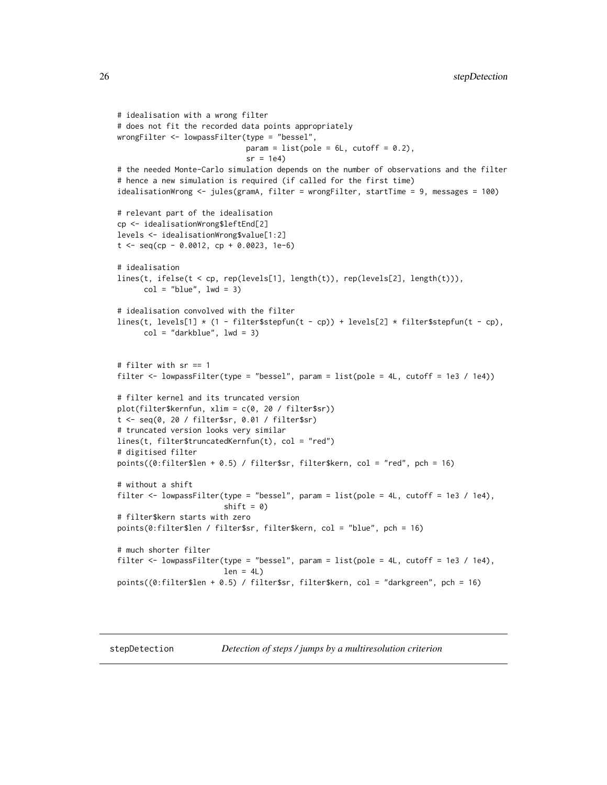```
# idealisation with a wrong filter
# does not fit the recorded data points appropriately
wrongFilter <- lowpassFilter(type = "bessel",
                             param = list(pole = 6L, cutoff = 0.2),
                             sr = 1e4# the needed Monte-Carlo simulation depends on the number of observations and the filter
# hence a new simulation is required (if called for the first time)
idealisationWrong <- jules(gramA, filter = wrongFilter, startTime = 9, messages = 100)
# relevant part of the idealisation
cp <- idealisationWrong$leftEnd[2]
levels <- idealisationWrong$value[1:2]
t \leq - seq(cp - 0.0012, cp + 0.0023, 1e-6)
# idealisation
lines(t, ifelse(t < cp, rep(levels[1], length(t)), rep(levels[2], length(t))),
      col = "blue", \text{lwd} = 3)# idealisation convolved with the filter
lines(t, levels[1] \star (1 - filter$stepfun(t - cp)) + levels[2] \star filter$stepfun(t - cp),
      col = "darkblue", \text{ lwd} = 3)# filter with sr == 1
filter <- lowpassFilter(type = "bessel", param = list(pole = 4L, cutoff = 1e3 / 1e4))
# filter kernel and its truncated version
plot(filter$kernfun, xlim = c(0, 20 / filter$sr))
t <- seq(0, 20 / filter$sr, 0.01 / filter$sr)
# truncated version looks very similar
lines(t, filter$truncatedKernfun(t), col = "red")
# digitised filter
points((0:filter$len + 0.5) / filter$sr, filter$kern, col = "red", pch = 16)
# without a shift
filter <- lowpassFilter(type = "bessel", param = list(pole = 4L, cutoff = 1e3 / 1e4),
                        shift = 0)# filter$kern starts with zero
points(0:filter$len / filter$sr, filter$kern, col = "blue", pch = 16)
# much shorter filter
filter <- lowpassFilter(type = "bessel", param = list(pole = 4L, cutoff = 1e3 / 1e4),
                        len = 4L)
points((0:filter$len + 0.5) / filter$sr, filter$kern, col = "darkgreen", pch = 16)
```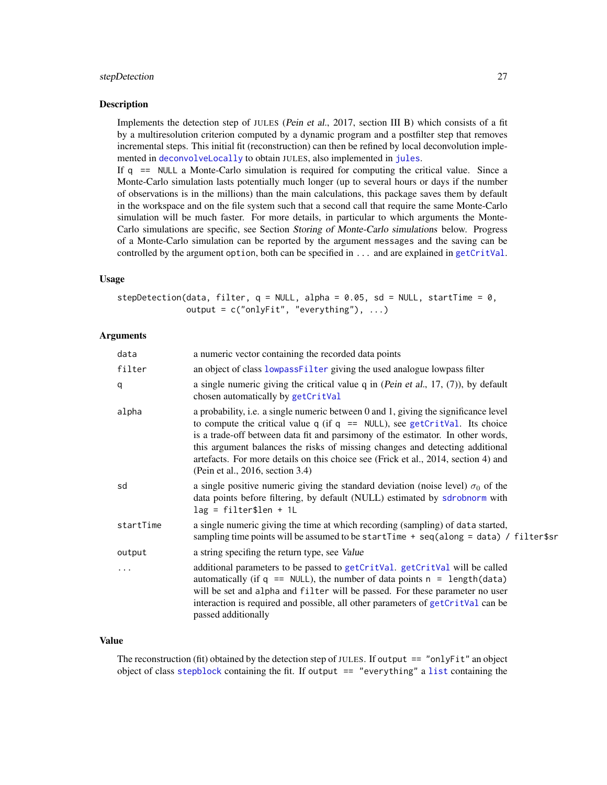#### <span id="page-26-0"></span>stepDetection 27

#### **Description**

Implements the detection step of JULES (Pein et al., 2017, section III B) which consists of a fit by a multiresolution criterion computed by a dynamic program and a postfilter step that removes incremental steps. This initial fit (reconstruction) can then be refined by local deconvolution implemented in [deconvolveLocally](#page-6-1) to obtain JULES, also implemented in [jules](#page-17-1).

If q == NULL a Monte-Carlo simulation is required for computing the critical value. Since a Monte-Carlo simulation lasts potentially much longer (up to several hours or days if the number of observations is in the millions) than the main calculations, this package saves them by default in the workspace and on the file system such that a second call that require the same Monte-Carlo simulation will be much faster. For more details, in particular to which arguments the Monte-Carlo simulations are specific, see Section Storing of Monte-Carlo simulations below. Progress of a Monte-Carlo simulation can be reported by the argument messages and the saving can be controlled by the argument option, both can be specified in  $\dots$  and are explained in [getCritVal](#page-10-1).

#### Usage

stepDetection(data, filter,  $q = NULL$ , alpha = 0.05, sd = NULL, startTime = 0, output = c("onlyFit", "everything"), ...)

#### Arguments

| data      | a numeric vector containing the recorded data points                                                                                                                                                                                                                                                                                                                                                                                                                |
|-----------|---------------------------------------------------------------------------------------------------------------------------------------------------------------------------------------------------------------------------------------------------------------------------------------------------------------------------------------------------------------------------------------------------------------------------------------------------------------------|
| filter    | an object of class lowpass Filter giving the used analogue lowpass filter                                                                                                                                                                                                                                                                                                                                                                                           |
| q         | a single numeric giving the critical value $q$ in (Pein et al., 17, (7)), by default<br>chosen automatically by getCritVal                                                                                                                                                                                                                                                                                                                                          |
| alpha     | a probability, i.e. a single numeric between 0 and 1, giving the significance level<br>to compute the critical value $q$ (if $q == NULL$ ), see getCritVal. Its choice<br>is a trade-off between data fit and parsimony of the estimator. In other words,<br>this argument balances the risks of missing changes and detecting additional<br>artefacts. For more details on this choice see (Frick et al., 2014, section 4) and<br>(Pein et al., 2016, section 3.4) |
| sd        | a single positive numeric giving the standard deviation (noise level) $\sigma_0$ of the<br>data points before filtering, by default (NULL) estimated by sdrobnorm with<br>$lag = filter$len + 1L$                                                                                                                                                                                                                                                                   |
| startTime | a single numeric giving the time at which recording (sampling) of data started,<br>sampling time points will be assumed to be startTime + seq(along = data) / filter\$sr                                                                                                                                                                                                                                                                                            |
| output    | a string specifing the return type, see Value                                                                                                                                                                                                                                                                                                                                                                                                                       |
|           | additional parameters to be passed to getCritVal. getCritVal will be called<br>automatically (if $q == NULL$ ), the number of data points $n == length(data)$<br>will be set and alpha and filter will be passed. For these parameter no user<br>interaction is required and possible, all other parameters of getCritVal can be<br>passed additionally                                                                                                             |

#### Value

The reconstruction (fit) obtained by the detection step of JULES. If output == "onlyFit" an object object of class [stepblock](#page-0-0) containing the fit. If output == "everything" a [list](#page-0-0) containing the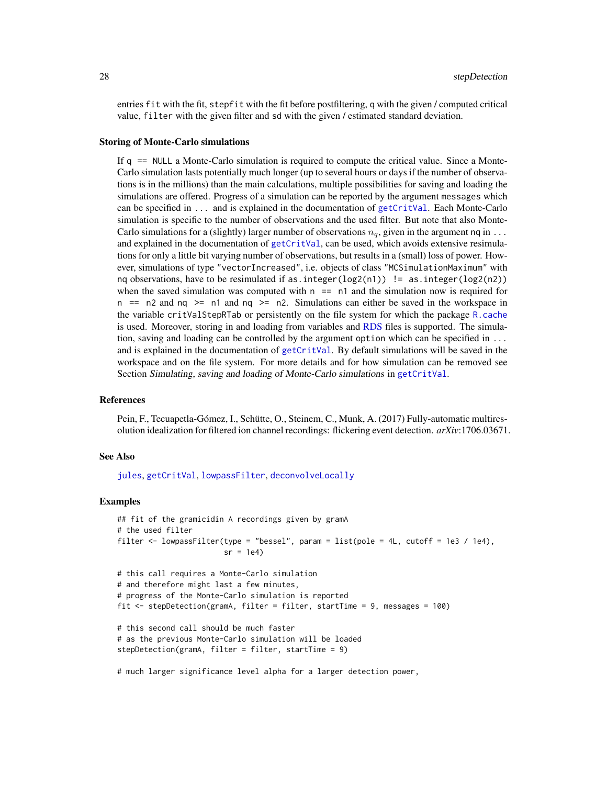<span id="page-27-0"></span>entries fit with the fit, stepfit with the fit before postfiltering, q with the given / computed critical value, filter with the given filter and sd with the given / estimated standard deviation.

#### Storing of Monte-Carlo simulations

If q == NULL a Monte-Carlo simulation is required to compute the critical value. Since a Monte-Carlo simulation lasts potentially much longer (up to several hours or days if the number of observations is in the millions) than the main calculations, multiple possibilities for saving and loading the simulations are offered. Progress of a simulation can be reported by the argument messages which can be specified in ... and is explained in the documentation of [getCritVal](#page-10-1). Each Monte-Carlo simulation is specific to the number of observations and the used filter. But note that also Monte-Carlo simulations for a (slightly) larger number of observations  $n_q$ , given in the argument nq in  $\dots$ and explained in the documentation of [getCritVal](#page-10-1), can be used, which avoids extensive resimulations for only a little bit varying number of observations, but results in a (small) loss of power. However, simulations of type "vectorIncreased", i.e. objects of class "MCSimulationMaximum" with ng observations, have to be resimulated if as. integer(log2(n1)) != as. integer(log2(n2)) when the saved simulation was computed with  $n == n1$  and the simulation now is required for n  $==$  n2 and nq  $>=$  n1 and nq  $>=$  n2. Simulations can either be saved in the workspace in the variable critValStepRTab or persistently on the file system for which the package [R.cache](#page-0-0) is used. Moreover, storing in and loading from variables and [RDS](#page-0-0) files is supported. The simulation, saving and loading can be controlled by the argument option which can be specified in ... and is explained in the documentation of [getCritVal](#page-10-1). By default simulations will be saved in the workspace and on the file system. For more details and for how simulation can be removed see Section Simulating, saving and loading of Monte-Carlo simulations in [getCritVal](#page-10-1).

#### References

Pein, F., Tecuapetla-Gómez, I., Schütte, O., Steinem, C., Munk, A. (2017) Fully-automatic multiresolution idealization for filtered ion channel recordings: flickering event detection. *arXiv*:1706.03671.

#### See Also

[jules](#page-17-1), [getCritVal](#page-10-1), [lowpassFilter](#page-22-1), [deconvolveLocally](#page-6-1)

```
## fit of the gramicidin A recordings given by gramA
# the used filter
filter \le lowpassFilter(type = "bessel", param = list(pole = 4L, cutoff = 1e3 / 1e4),
                        sr = 1e4# this call requires a Monte-Carlo simulation
# and therefore might last a few minutes,
# progress of the Monte-Carlo simulation is reported
fit <- stepDetection(gramA, filter = filter, startTime = 9, messages = 100)
# this second call should be much faster
# as the previous Monte-Carlo simulation will be loaded
stepDetection(gramA, filter = filter, startTime = 9)
```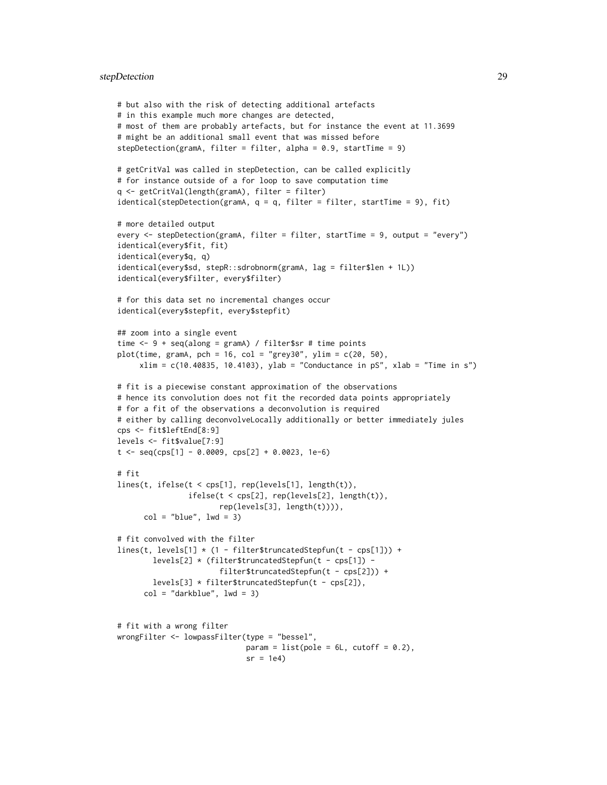#### stepDetection 29

```
# but also with the risk of detecting additional artefacts
# in this example much more changes are detected,
# most of them are probably artefacts, but for instance the event at 11.3699
# might be an additional small event that was missed before
stepDetection(gramA, filter = filter, alpha = 0.9, startTime = 9)
# getCritVal was called in stepDetection, can be called explicitly
# for instance outside of a for loop to save computation time
q <- getCritVal(length(gramA), filter = filter)
identical(stepDetection(gramA, q = q, filter = filter, startTime = 9), fit)
# more detailed output
every <- stepDetection(gramA, filter = filter, startTime = 9, output = "every")
identical(every$fit, fit)
identical(every$q, q)
identical(every$sd, stepR::sdrobnorm(gramA, lag = filter$len + 1L))
identical(every$filter, every$filter)
# for this data set no incremental changes occur
identical(every$stepfit, every$stepfit)
## zoom into a single event
time <- 9 + seq(along = gramA) / filter$sr # time points
plot(time, gramA, pch = 16, col = "grey30", ylim = c(20, 50),xlim = c(10.40835, 10.4103), ylab = "Conductance in pS", xlab = "Time in s")# fit is a piecewise constant approximation of the observations
# hence its convolution does not fit the recorded data points appropriately
# for a fit of the observations a deconvolution is required
# either by calling deconvolveLocally additionally or better immediately jules
cps <- fit$leftEnd[8:9]
levels <- fit$value[7:9]
t \leq - seq(cps[1] - 0.0009, cps[2] + 0.0023, 1e-6)
# fit
lines(t, ifelse(t < cps[1], rep(levels[1], length(t)),
                ifelse(t < cps[2], rep(levels[2], length(t)),
                       rep(levels[3], length(t)))),
      col = "blue", \text{lwd} = 3)# fit convolved with the filter
lines(t, levels[1] * (1 - filter$truncatedStepfun(t - cps[1])) +
        levels[2] * (filter$truncatedStepfun(t - cps[1]) -
                       filter$truncatedStepfun(t - cps[2])) +
        levels[3] * filter$truncatedStepfun(t - cps[2]),
      col = "darkblue", \text{ lwd} = 3)# fit with a wrong filter
wrongFilter <- lowpassFilter(type = "bessel",
                             param = list(pole = 6L, cutoff = 0.2),
                             sr = 1e4
```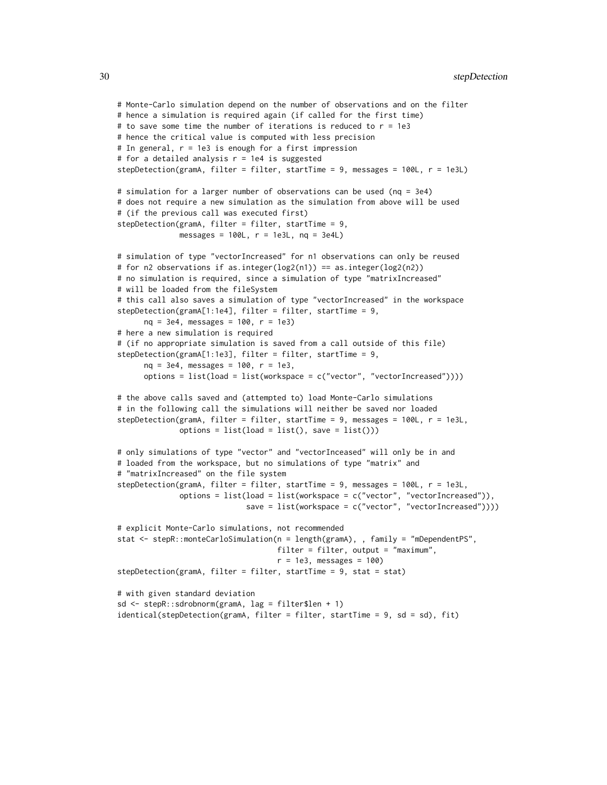```
# Monte-Carlo simulation depend on the number of observations and on the filter
# hence a simulation is required again (if called for the first time)
# to save some time the number of iterations is reduced to r = 1e3# hence the critical value is computed with less precision
# In general, r = 1e3 is enough for a first impression
# for a detailed analysis r = 1e4 is suggested
stepDetection(gramA, filter = filter, startTime = 9, messages = 100L, r = 1e3L)
# simulation for a larger number of observations can be used (nq = 3e4)
# does not require a new simulation as the simulation from above will be used
# (if the previous call was executed first)
stepDetection(gramA, filter = filter, startTime = 9,
              messages = 100L, r = 1e3L, nq = 3e4L)
# simulation of type "vectorIncreased" for n1 observations can only be reused
# for n2 observations if as.integer(log2(n1)) == as.integer(log2(n2))
# no simulation is required, since a simulation of type "matrixIncreased"
# will be loaded from the fileSystem
# this call also saves a simulation of type "vectorIncreased" in the workspace
stepDetection(gramA[1:1e4], filter = filter, startTime = 9,
     nq = 3e4, messages = 100, r = 1e3)
# here a new simulation is required
# (if no appropriate simulation is saved from a call outside of this file)
stepDetection(gramA[1:1e3], filter = filter, startTime = 9,
      nq = 3e4, messages = 100, r = 1e3,
      options = list(load = list(workspace = c("vector", "vectorIncreased"))))
# the above calls saved and (attempted to) load Monte-Carlo simulations
# in the following call the simulations will neither be saved nor loaded
stepDetection(gramA, filter = filter, startTime = 9, messages = 100L, r = 1e3L,
              options = list(load = list(), save = list())# only simulations of type "vector" and "vectorInceased" will only be in and
# loaded from the workspace, but no simulations of type "matrix" and
# "matrixIncreased" on the file system
stepDetection(gramA, filter = filter, startTime = 9, messages = 100L, r = 1e3L,
              options = list(load = list(workspace = c("vector", "vectorIncreased")),
                             save = list(workspace = c("vector", "vectorIncreased"))))
# explicit Monte-Carlo simulations, not recommended
stat <- stepR::monteCarloSimulation(n = length(gramA), , family = "mDependentPS",
                                   filter = filter, output = "maximum",
                                    r = 1e3, messages = 100)
stepDetection(gramA, filter = filter, startTime = 9, stat = stat)
# with given standard deviation
sd <- stepR::sdrobnorm(gramA, lag = filter$len + 1)
identical(stepDetection(gramA, filter = filter, startTime = 9, sd = sd), fit)
```